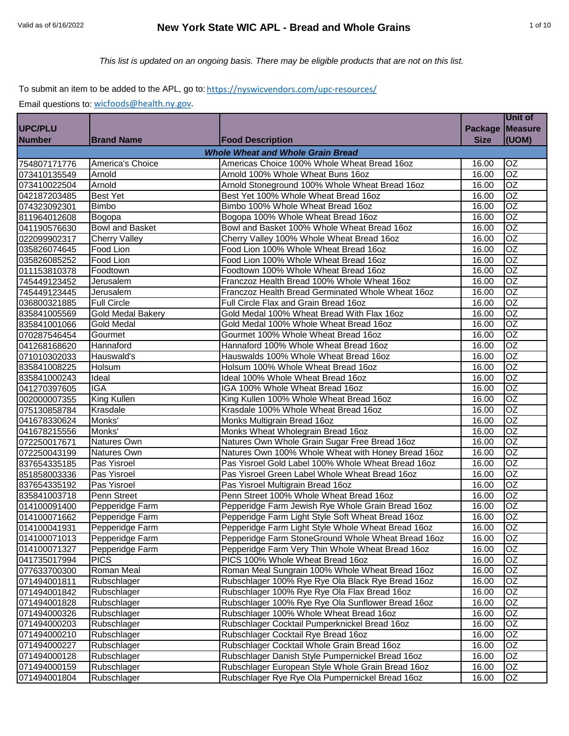# Valid as of 6/16/2022 **New York State WIC APL - Bread and Whole Grains** 1 of 10

#### To submit an item to be added to the APL, go to: https://nyswicvendors.com/upc-resources/

|                |                        |                                                    |             | Unit of         |
|----------------|------------------------|----------------------------------------------------|-------------|-----------------|
| <b>UPC/PLU</b> |                        |                                                    |             | Package Measure |
| <b>Number</b>  | <b>Brand Name</b>      | <b>Food Description</b>                            | <b>Size</b> | (UOM)           |
|                |                        | <b>Whole Wheat and Whole Grain Bread</b>           |             |                 |
| 754807171776   | America's Choice       | Americas Choice 100% Whole Wheat Bread 16oz        | 16.00       | OZ              |
| 073410135549   | Arnold                 | Arnold 100% Whole Wheat Buns 16oz                  | 16.00       | OZ              |
| 073410022504   | Arnold                 | Arnold Stoneground 100% Whole Wheat Bread 16oz     | 16.00       | <b>OZ</b>       |
| 042187203485   | <b>Best Yet</b>        | Best Yet 100% Whole Wheat Bread 16oz               | 16.00       | <b>OZ</b>       |
| 074323092301   | <b>Bimbo</b>           | Bimbo 100% Whole Wheat Bread 16oz                  | 16.00       | <b>OZ</b>       |
| 811964012608   | Bogopa                 | Bogopa 100% Whole Wheat Bread 16oz                 | 16.00       | OZ              |
| 041190576630   | <b>Bowl and Basket</b> | Bowl and Basket 100% Whole Wheat Bread 16oz        | 16.00       | OZ              |
| 022099902317   | <b>Cherry Valley</b>   | Cherry Valley 100% Whole Wheat Bread 16oz          | 16.00       | OZ              |
| 035826074645   | Food Lion              | Food Lion 100% Whole Wheat Bread 16oz              | 16.00       | OZ              |
| 035826085252   | Food Lion              | Food Lion 100% Whole Wheat Bread 16oz              | 16.00       | OZ              |
| 011153810378   | Foodtown               | Foodtown 100% Whole Wheat Bread 16oz               | 16.00       | OZ              |
| 745449123452   | Jerusalem              | Franczoz Health Bread 100% Whole Wheat 16oz        | 16.00       | OZ              |
| 745449123445   | Jerusalem              | Franczoz Health Bread Germinated Whole Wheat 16oz  | 16.00       | OZ              |
| 036800321885   | <b>Full Circle</b>     | Full Circle Flax and Grain Bread 16oz              | 16.00       | <b>OZ</b>       |
| 835841005569   | Gold Medal Bakery      | Gold Medal 100% Wheat Bread With Flax 16oz         | 16.00       | OZ              |
| 835841001066   | <b>Gold Medal</b>      | Gold Medal 100% Whole Wheat Bread 16oz             | 16.00       | OZ              |
| 070287546454   | Gourmet                | Gourmet 100% Whole Wheat Bread 16oz                | 16.00       | <b>OZ</b>       |
| 041268168620   | Hannaford              | Hannaford 100% Whole Wheat Bread 16oz              | 16.00       | <b>OZ</b>       |
| 071010302033   | Hauswald's             | Hauswalds 100% Whole Wheat Bread 16oz              | 16.00       | OZ              |
| 835841008225   | Holsum                 | Holsum 100% Whole Wheat Bread 16oz                 | 16.00       | OZ              |
| 835841000243   | Ideal                  | Ideal 100% Whole Wheat Bread 16oz                  | 16.00       | OZ              |
| 041270397605   | <b>IGA</b>             | IGA 100% Whole Wheat Bread 16oz                    | 16.00       | OZ              |
| 002000007355   | King Kullen            | King Kullen 100% Whole Wheat Bread 16oz            | 16.00       | OZ              |
| 075130858784   | Krasdale               | Krasdale 100% Whole Wheat Bread 16oz               | 16.00       | OZ              |
| 041678330624   | Monks'                 | Monks Multigrain Bread 16oz                        | 16.00       | OZ              |
| 041678215556   | Monks'                 | Monks Wheat Wholegrain Bread 16oz                  | 16.00       | OZ              |
| 072250017671   | Natures Own            | Natures Own Whole Grain Sugar Free Bread 16oz      | 16.00       | OZ              |
| 072250043199   | Natures Own            | Natures Own 100% Whole Wheat with Honey Bread 16oz | 16.00       | OZ              |
| 837654335185   | Pas Yisroel            | Pas Yisroel Gold Label 100% Whole Wheat Bread 16oz | 16.00       | <b>OZ</b>       |
| 851858003336   | Pas Yisroel            | Pas Yisroel Green Label Whole Wheat Bread 16oz     | 16.00       | <b>OZ</b>       |
| 837654335192   | Pas Yisroel            | Pas Yisroel Multigrain Bread 16oz                  | 16.00       | OZ              |
| 835841003718   | Penn Street            | Penn Street 100% Whole Wheat Bread 16oz            | 16.00       | OZ              |
| 014100091400   | Pepperidge Farm        | Pepperidge Farm Jewish Rye Whole Grain Bread 16oz  | 16.00       | OZ              |
| 014100071662   | Pepperidge Farm        | Pepperidge Farm Light Style Soft Wheat Bread 16oz  | 16.00       | <b>OZ</b>       |
| 014100041931   | Pepperidge Farm        | Pepperidge Farm Light Style Whole Wheat Bread 16oz | 16.00       | <b>OZ</b>       |
| 014100071013   | Pepperidge Farm        | Pepperidge Farm StoneGround Whole Wheat Bread 16oz | 16.00       | OZ              |
| 014100071327   | Pepperidge Farm        | Pepperidge Farm Very Thin Whole Wheat Bread 16oz   | 16.00       | OZ              |
| 041735017994   | <b>PICS</b>            | PICS 100% Whole Wheat Bread 16oz                   | 16.00       | OZ              |
| 077633700300   | <b>Roman Meal</b>      | Roman Meal Sungrain 100% Whole Wheat Bread 16oz    | 16.00       | OZ              |
| 071494001811   | Rubschlager            | Rubschlager 100% Rye Rye Ola Black Rye Bread 16oz  | 16.00       | OZ              |
| 071494001842   | Rubschlager            | Rubschlager 100% Rye Rye Ola Flax Bread 16oz       | 16.00       | OZ              |
| 071494001828   | Rubschlager            | Rubschlager 100% Rye Rye Ola Sunflower Bread 16oz  | 16.00       | <b>OZ</b>       |
| 071494000326   | Rubschlager            | Rubschlager 100% Whole Wheat Bread 16oz            | 16.00       | OZ              |
| 071494000203   | Rubschlager            | Rubschlager Cocktail Pumperknickel Bread 16oz      | 16.00       | OZ              |
| 071494000210   | Rubschlager            | Rubschlager Cocktail Rye Bread 16oz                | 16.00       | OZ              |
| 071494000227   | Rubschlager            | Rubschlager Cocktail Whole Grain Bread 16oz        | 16.00       | OZ              |
| 071494000128   | Rubschlager            | Rubschlager Danish Style Pumpernickel Bread 16oz   | 16.00       | OZ              |
| 071494000159   | Rubschlager            | Rubschlager European Style Whole Grain Bread 16oz  | 16.00       | OZ              |
| 071494001804   | Rubschlager            | Rubschlager Rye Rye Ola Pumpernickel Bread 16oz    | 16.00       | OZ              |
|                |                        |                                                    |             |                 |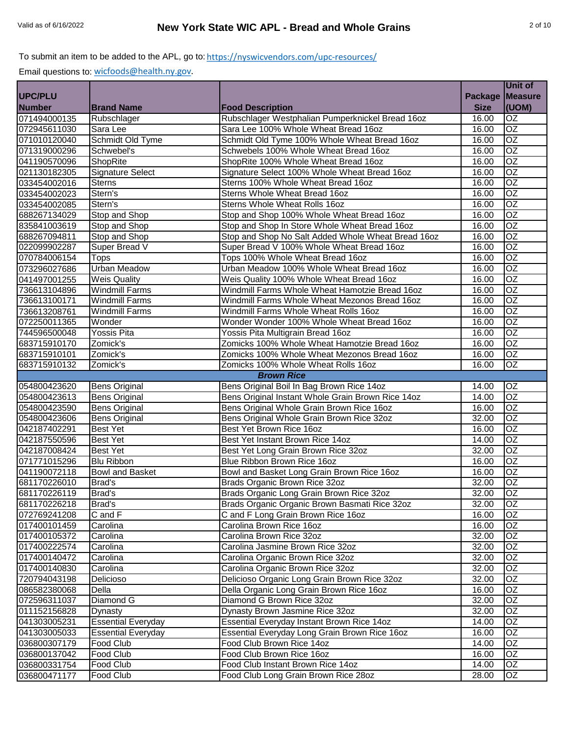|                |                           |                                                    |                | Unit of         |
|----------------|---------------------------|----------------------------------------------------|----------------|-----------------|
| <b>UPC/PLU</b> |                           |                                                    | <b>Package</b> | <b>Measure</b>  |
| <b>Number</b>  | <b>Brand Name</b>         | <b>Food Description</b>                            | <b>Size</b>    | (UOM)           |
| 071494000135   | Rubschlager               | Rubschlager Westphalian Pumperknickel Bread 16oz   | 16.00          | OZ              |
| 072945611030   | Sara Lee                  | Sara Lee 100% Whole Wheat Bread 16oz               | 16.00          | OZ              |
| 071010120040   | Schmidt Old Tyme          | Schmidt Old Tyme 100% Whole Wheat Bread 16oz       | 16.00          | $\overline{OZ}$ |
| 071319000296   | Schwebel's                | Schwebels 100% Whole Wheat Bread 16oz              | 16.00          | $\overline{OZ}$ |
| 041190570096   | <b>ShopRite</b>           | ShopRite 100% Whole Wheat Bread 16oz               | 16.00          | $\overline{OZ}$ |
| 021130182305   | <b>Signature Select</b>   | Signature Select 100% Whole Wheat Bread 16oz       | 16.00          | $\overline{OZ}$ |
| 033454002016   | <b>Sterns</b>             | Sterns 100% Whole Wheat Bread 16oz                 | 16.00          | $\overline{OZ}$ |
| 033454002023   | Stern's                   | Sterns Whole Wheat Bread 16oz                      | 16.00          | OZ              |
| 033454002085   | Stern's                   | <b>Sterns Whole Wheat Rolls 16oz</b>               | 16.00          | $\overline{OZ}$ |
| 688267134029   | Stop and Shop             | Stop and Shop 100% Whole Wheat Bread 16oz          | 16.00          | <b>OZ</b>       |
| 835841003619   | Stop and Shop             | Stop and Shop In Store Whole Wheat Bread 16oz      | 16.00          | <b>OZ</b>       |
| 688267094811   | Stop and Shop             | Stop and Shop No Salt Added Whole Wheat Bread 16oz | 16.00          | OZ              |
| 022099902287   | Super Bread V             | Super Bread V 100% Whole Wheat Bread 16oz          | 16.00          | OZ              |
| 070784006154   | <b>Tops</b>               | Tops 100% Whole Wheat Bread 16oz                   | 16.00          | OZ              |
| 073296027686   | <b>Urban Meadow</b>       | Urban Meadow 100% Whole Wheat Bread 16oz           | 16.00          | OZ              |
| 041497001255   | <b>Weis Quality</b>       | Weis Quality 100% Whole Wheat Bread 16oz           | 16.00          | $\overline{OZ}$ |
| 736613104896   | <b>Windmill Farms</b>     | Windmill Farms Whole Wheat Hamotzie Bread 16oz     | 16.00          | $\overline{OZ}$ |
| 736613100171   | <b>Windmill Farms</b>     | Windmill Farms Whole Wheat Mezonos Bread 16oz      | 16.00          | $\overline{OZ}$ |
| 736613208761   | <b>Windmill Farms</b>     | Windmill Farms Whole Wheat Rolls 16oz              | 16.00          | $\overline{OZ}$ |
| 072250011365   | Wonder                    | Wonder Wonder 100% Whole Wheat Bread 16oz          | 16.00          | OZ              |
| 744596500048   | <b>Yossis Pita</b>        | Yossis Pita Multigrain Bread 16oz                  | 16.00          | $\overline{OZ}$ |
| 683715910170   | Zomick's                  | Zomicks 100% Whole Wheat Hamotzie Bread 16oz       | 16.00          | OZ              |
| 683715910101   | Zomick's                  | Zomicks 100% Whole Wheat Mezonos Bread 16oz        | 16.00          | $\overline{OZ}$ |
| 683715910132   | Zomick's                  | Zomicks 100% Whole Wheat Rolls 16oz                | 16.00          | $\overline{OZ}$ |
|                |                           | <b>Brown Rice</b>                                  |                |                 |
| 054800423620   | <b>Bens Original</b>      | Bens Original Boil In Bag Brown Rice 14oz          | 14.00          | OZ              |
| 054800423613   | <b>Bens Original</b>      | Bens Original Instant Whole Grain Brown Rice 14oz  | 14.00          | $\overline{OZ}$ |
| 054800423590   | <b>Bens Original</b>      | Bens Original Whole Grain Brown Rice 16oz          | 16.00          | $\overline{OZ}$ |
| 054800423606   | <b>Bens Original</b>      | Bens Original Whole Grain Brown Rice 32oz          | 32.00          | OZ              |
| 042187402291   | <b>Best Yet</b>           | Best Yet Brown Rice 16oz                           | 16.00          | $\overline{OZ}$ |
| 042187550596   | <b>Best Yet</b>           | Best Yet Instant Brown Rice 14oz                   | 14.00          | $\overline{OZ}$ |
| 042187008424   | <b>Best Yet</b>           | Best Yet Long Grain Brown Rice 32oz                | 32.00          | <b>OZ</b>       |
| 071771015296   | <b>Blu Ribbon</b>         | Blue Ribbon Brown Rice 16oz                        | 16.00          | OZ              |
| 041190072118   | <b>Bowl and Basket</b>    | Bowl and Basket Long Grain Brown Rice 16oz         | 16.00          | $\overline{OZ}$ |
| 681170226010   | Brad's                    | Brads Organic Brown Rice 32oz                      | 32.00          | $\overline{OZ}$ |
| 681170226119   | Brad's                    | Brads Organic Long Grain Brown Rice 32oz           | 32.00          | <b>OZ</b>       |
| 681170226218   | Brad's                    | Brads Organic Organic Brown Basmati Rice 32oz      | 32.00          | OZ              |
| 072769241208   | C and F                   | C and F Long Grain Brown Rice 16oz                 | 16.00          | OZ              |
| 017400101459   | Carolina                  | Carolina Brown Rice 16oz                           | 16.00          | OZ              |
| 017400105372   | Carolina                  | Carolina Brown Rice 32oz                           | 32.00          | OZ              |
| 017400222574   | Carolina                  | Carolina Jasmine Brown Rice 32oz                   | 32.00          | OZ              |
| 017400140472   | Carolina                  | Carolina Organic Brown Rice 32oz                   | 32.00          | OZ              |
| 017400140830   | Carolina                  | Carolina Organic Brown Rice 32oz                   | 32.00          | OZ              |
| 720794043198   | Delicioso                 | Delicioso Organic Long Grain Brown Rice 32oz       | 32.00          | OZ              |
| 086582380068   | Della                     | Della Organic Long Grain Brown Rice 16oz           | 16.00          | OZ              |
| 072596311037   | Diamond G                 | Diamond G Brown Rice 32oz                          | 32.00          | $\overline{OZ}$ |
| 011152156828   | Dynasty                   | Dynasty Brown Jasmine Rice 32oz                    | 32.00          | OZ              |
| 041303005231   | <b>Essential Everyday</b> | Essential Everyday Instant Brown Rice 14oz         | 14.00          | OZ              |
| 041303005033   | <b>Essential Everyday</b> | Essential Everyday Long Grain Brown Rice 16oz      | 16.00          | OZ              |
| 036800307179   | Food Club                 | Food Club Brown Rice 14oz                          | 14.00          | OZ              |
| 036800137042   | Food Club                 | Food Club Brown Rice 16oz                          | 16.00          | OZ              |
| 036800331754   | Food Club                 | Food Club Instant Brown Rice 14oz                  | 14.00          | OZ              |
| 036800471177   | Food Club                 | Food Club Long Grain Brown Rice 28oz               | 28.00          | OZ              |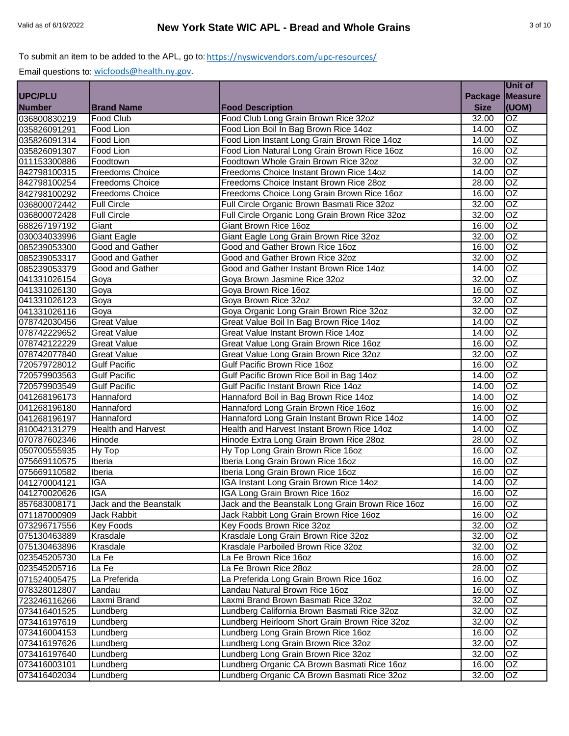|                |                           |                                                   |                 | <b>Unit of</b>  |
|----------------|---------------------------|---------------------------------------------------|-----------------|-----------------|
| <b>UPC/PLU</b> |                           |                                                   | Package Measure |                 |
| <b>Number</b>  | <b>Brand Name</b>         | <b>Food Description</b>                           | <b>Size</b>     | (UOM)           |
| 036800830219   | <b>Food Club</b>          | Food Club Long Grain Brown Rice 32oz              | 32.00           | <b>OZ</b>       |
| 035826091291   | Food Lion                 | Food Lion Boil In Bag Brown Rice 14oz             | 14.00           | $\overline{OZ}$ |
| 035826091314   | Food Lion                 | Food Lion Instant Long Grain Brown Rice 14oz      | 14.00           | $\overline{OZ}$ |
| 035826091307   | Food Lion                 | Food Lion Natural Long Grain Brown Rice 16oz      | 16.00           | $\overline{OZ}$ |
| 011153300886   | Foodtown                  | Foodtown Whole Grain Brown Rice 32oz              | 32.00           | $\overline{OZ}$ |
| 842798100315   | <b>Freedoms Choice</b>    | Freedoms Choice Instant Brown Rice 14oz           | 14.00           | $\overline{OZ}$ |
| 842798100254   | <b>Freedoms Choice</b>    | Freedoms Choice Instant Brown Rice 28oz           | 28.00           | OZ              |
| 842798100292   | <b>Freedoms Choice</b>    | Freedoms Choice Long Grain Brown Rice 16oz        | 16.00           | OZ              |
| 036800072442   | <b>Full Circle</b>        | Full Circle Organic Brown Basmati Rice 32oz       | 32.00           | OZ              |
| 036800072428   | <b>Full Circle</b>        | Full Circle Organic Long Grain Brown Rice 32oz    | 32.00           | $\overline{OZ}$ |
| 688267197192   | Giant                     | Giant Brown Rice 16oz                             | 16.00           | OZ              |
| 030034033996   | <b>Giant Eagle</b>        | Giant Eagle Long Grain Brown Rice 32oz            | 32.00           | OZ              |
| 085239053300   | Good and Gather           | Good and Gather Brown Rice 16oz                   | 16.00           | <b>OZ</b>       |
| 085239053317   | Good and Gather           | Good and Gather Brown Rice 32oz                   | 32.00           | $\overline{OZ}$ |
| 085239053379   | Good and Gather           | Good and Gather Instant Brown Rice 14oz           | 14.00           | $\overline{OZ}$ |
| 041331026154   | Goya                      | Goya Brown Jasmine Rice 32oz                      | 32.00           | OZ              |
| 041331026130   | Goya                      | Goya Brown Rice 16oz                              | 16.00           | $\overline{OZ}$ |
| 041331026123   | Goya                      | Goya Brown Rice 32oz                              | 32.00           | $\overline{OZ}$ |
| 041331026116   | Goya                      | Goya Organic Long Grain Brown Rice 32oz           | 32.00           | OZ              |
| 078742030456   | <b>Great Value</b>        | Great Value Boil In Bag Brown Rice 14oz           | 14.00           | OZ              |
| 078742229652   | <b>Great Value</b>        | Great Value Instant Brown Rice 14oz               | 14.00           | $\overline{OZ}$ |
| 078742122229   | <b>Great Value</b>        | Great Value Long Grain Brown Rice 16oz            | 16.00           | OZ              |
| 078742077840   | <b>Great Value</b>        | Great Value Long Grain Brown Rice 32oz            | 32.00           | <b>OZ</b>       |
| 720579728012   | <b>Gulf Pacific</b>       | Gulf Pacific Brown Rice 16oz                      | 16.00           | OZ              |
| 720579903563   | <b>Gulf Pacific</b>       | Gulf Pacific Brown Rice Boil in Bag 14oz          | 14.00           | OZ              |
| 720579903549   | <b>Gulf Pacific</b>       | Gulf Pacific Instant Brown Rice 14oz              | 14.00           | OZ              |
| 041268196173   | Hannaford                 | Hannaford Boil in Bag Brown Rice 14oz             | 14.00           | $\overline{OZ}$ |
| 041268196180   | Hannaford                 | Hannaford Long Grain Brown Rice 16oz              | 16.00           | $\overline{OZ}$ |
| 041268196197   | Hannaford                 | Hannaford Long Grain Instant Brown Rice 14oz      | 14.00           | $\overline{OZ}$ |
| 810042131279   | <b>Health and Harvest</b> | Health and Harvest Instant Brown Rice 14oz        | 14.00           | $\overline{OZ}$ |
| 070787602346   | Hinode                    | Hinode Extra Long Grain Brown Rice 28oz           | 28.00           | $\overline{OZ}$ |
| 050700555935   | Hy Top                    | Hy Top Long Grain Brown Rice 16oz                 | 16.00           | $\overline{OZ}$ |
| 075669110575   | Iberia                    | Iberia Long Grain Brown Rice 16oz                 | 16.00           | OZ              |
| 075669110582   | <b>Iberia</b>             | Iberia Long Grain Brown Rice 16oz                 | 16.00           | OZ              |
| 041270004121   | <b>IGA</b>                | IGA Instant Long Grain Brown Rice 14oz            | 14.00           | OZ              |
| 041270020626   | <b>IGA</b>                | IGA Long Grain Brown Rice 16oz                    | 16.00           | <b>OZ</b>       |
| 857683008171   | Jack and the Beanstalk    | Jack and the Beanstalk Long Grain Brown Rice 16oz | 16.00           | OZ              |
| 071187000909   | Jack Rabbit               | Jack Rabbit Long Grain Brown Rice 16oz            | 16.00           | <b>OZ</b>       |
| 073296717556   | <b>Key Foods</b>          | Key Foods Brown Rice 32oz                         | 32.00           | <b>OZ</b>       |
| 075130463889   | Krasdale                  | Krasdale Long Grain Brown Rice 32oz               | 32.00           | OZ.             |
| 075130463896   | Krasdale                  | Krasdale Parboiled Brown Rice 32oz                | 32.00           | OZ              |
| 023545205730   | La Fe                     | La Fe Brown Rice 16oz                             | 16.00           | OZ              |
| 023545205716   | La Fe                     | La Fe Brown Rice 28oz                             | 28.00           | OZ              |
| 071524005475   | La Preferida              | La Preferida Long Grain Brown Rice 16oz           | 16.00           | OZ              |
| 078328012807   | Landau                    | Landau Natural Brown Rice 16oz                    | 16.00           | OZ              |
| 723246116266   | Laxmi Brand               | Laxmi Brand Brown Basmati Rice 32oz               | 32.00           | OZ              |
| 073416401525   | Lundberg                  | Lundberg California Brown Basmati Rice 32oz       | 32.00           | OZ              |
| 073416197619   | Lundberg                  | Lundberg Heirloom Short Grain Brown Rice 32oz     | 32.00           | OZ              |
| 073416004153   | Lundberg                  | Lundberg Long Grain Brown Rice 16oz               | 16.00           | OZ              |
| 073416197626   | Lundberg                  | Lundberg Long Grain Brown Rice 32oz               | 32.00           | OZ              |
| 073416197640   | Lundberg                  | Lundberg Long Grain Brown Rice 32oz               | 32.00           | OZ              |
| 073416003101   | Lundberg                  | Lundberg Organic CA Brown Basmati Rice 16oz       | 16.00           | OZ              |
| 073416402034   | Lundberg                  | Lundberg Organic CA Brown Basmati Rice 32oz       | 32.00           | OZ              |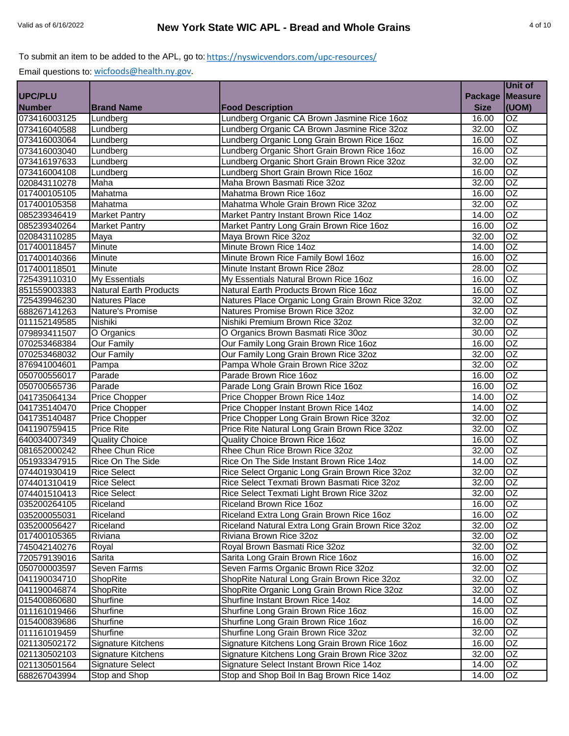|                |                               |                                                   |                | Unit of         |
|----------------|-------------------------------|---------------------------------------------------|----------------|-----------------|
| <b>UPC/PLU</b> |                               |                                                   | <b>Package</b> | <b>Measure</b>  |
| <b>Number</b>  | <b>Brand Name</b>             | <b>Food Description</b>                           | <b>Size</b>    | (UOM)           |
| 073416003125   | Lundberg                      | Lundberg Organic CA Brown Jasmine Rice 16oz       | 16.00          | OZ              |
| 073416040588   | Lundberg                      | Lundberg Organic CA Brown Jasmine Rice 32oz       | 32.00          | OZ              |
| 073416003064   | Lundberg                      | Lundberg Organic Long Grain Brown Rice 16oz       | 16.00          | $\overline{OZ}$ |
| 073416003040   | Lundberg                      | Lundberg Organic Short Grain Brown Rice 16oz      | 16.00          | $\overline{OZ}$ |
| 073416197633   | Lundberg                      | Lundberg Organic Short Grain Brown Rice 32oz      | 32.00          | $\overline{OZ}$ |
| 073416004108   | Lundberg                      | Lundberg Short Grain Brown Rice 16oz              | 16.00          | $\overline{OZ}$ |
| 020843110278   | Maha                          | Maha Brown Basmati Rice 32oz                      | 32.00          | $\overline{OZ}$ |
| 017400105105   | Mahatma                       | Mahatma Brown Rice 16oz                           | 16.00          | OZ              |
| 017400105358   | Mahatma                       | Mahatma Whole Grain Brown Rice 32oz               | 32.00          | $\overline{OZ}$ |
| 085239346419   | Market Pantry                 | Market Pantry Instant Brown Rice 14oz             | 14.00          | <b>OZ</b>       |
| 085239340264   | <b>Market Pantry</b>          | Market Pantry Long Grain Brown Rice 16oz          | 16.00          | <b>OZ</b>       |
| 020843110285   | Maya                          | Maya Brown Rice 32oz                              | 32.00          | OZ              |
| 017400118457   | Minute                        | Minute Brown Rice 14oz                            | 14.00          | OZ              |
| 017400140366   | Minute                        | Minute Brown Rice Family Bowl 16oz                | 16.00          | $\overline{OZ}$ |
| 017400118501   | Minute                        | Minute Instant Brown Rice 28oz                    | 28.00          | OZ              |
| 725439110310   | <b>My Essentials</b>          | My Essentials Natural Brown Rice 16oz             | 16.00          | $\overline{OZ}$ |
| 851559003383   | <b>Natural Earth Products</b> | Natural Earth Products Brown Rice 16oz            | 16.00          | $\overline{OZ}$ |
| 725439946230   | <b>Natures Place</b>          | Natures Place Organic Long Grain Brown Rice 32oz  | 32.00          | $\overline{OZ}$ |
| 688267141263   | Nature's Promise              | Natures Promise Brown Rice 32oz                   | 32.00          | $\overline{OZ}$ |
| 011152149585   | Nishiki                       | Nishiki Premium Brown Rice 32oz                   | 32.00          | OZ              |
| 079893411507   | O Organics                    | O Organics Brown Basmati Rice 30oz                | 30.00          | OZ              |
| 070253468384   | <b>Our Family</b>             | Our Family Long Grain Brown Rice 16oz             | 16.00          | OZ              |
| 070253468032   | <b>Our Family</b>             | Our Family Long Grain Brown Rice 32oz             | 32.00          | OZ              |
| 876941004601   | Pampa                         | Pampa Whole Grain Brown Rice 32oz                 | 32.00          | OZ              |
| 050700556017   | Parade                        | Parade Brown Rice 16oz                            | 16.00          | OZ              |
| 050700565736   | Parade                        | Parade Long Grain Brown Rice 16oz                 | 16.00          | OZ              |
| 041735064134   | Price Chopper                 | Price Chopper Brown Rice 14oz                     | 14.00          | $\overline{OZ}$ |
| 041735140470   | Price Chopper                 | Price Chopper Instant Brown Rice 14oz             | 14.00          | $\overline{OZ}$ |
| 041735140487   | Price Chopper                 | Price Chopper Long Grain Brown Rice 32oz          | 32.00          | $\overline{OZ}$ |
| 041190759415   | <b>Price Rite</b>             | Price Rite Natural Long Grain Brown Rice 32oz     | 32.00          | $\overline{OZ}$ |
| 640034007349   | <b>Quality Choice</b>         | Quality Choice Brown Rice 16oz                    | 16.00          | $\overline{OZ}$ |
| 081652000242   | Rhee Chun Rice                | Rhee Chun Rice Brown Rice 32oz                    | 32.00          | <b>OZ</b>       |
| 051933347915   | Rice On The Side              | Rice On The Side Instant Brown Rice 14oz          | 14.00          | OZ              |
| 074401930419   | <b>Rice Select</b>            | Rice Select Organic Long Grain Brown Rice 32oz    | 32.00          | OZ              |
| 074401310419   | <b>Rice Select</b>            | Rice Select Texmati Brown Basmati Rice 32oz       | 32.00          | $\overline{OZ}$ |
| 074401510413   | <b>Rice Select</b>            | Rice Select Texmati Light Brown Rice 32oz         | 32.00          | <b>OZ</b>       |
| 035200264105   | Riceland                      | Riceland Brown Rice 16oz                          | 16.00          | OZ              |
| 035200055031   | Riceland                      | Riceland Extra Long Grain Brown Rice 16oz         | 16.00          | OZ              |
| 035200056427   | Riceland                      | Riceland Natural Extra Long Grain Brown Rice 32oz | 32.00          | OZ              |
| 017400105365   | Riviana                       | Riviana Brown Rice 32oz                           | 32.00          | OZ              |
| 745042140276   | Royal                         | Royal Brown Basmati Rice 32oz                     | 32.00          | OZ              |
| 720579139016   | Sarita                        | Sarita Long Grain Brown Rice 16oz                 | 16.00          | OZ              |
| 050700003597   | Seven Farms                   | Seven Farms Organic Brown Rice 32oz               | 32.00          | OZ              |
| 041190034710   | ShopRite                      | ShopRite Natural Long Grain Brown Rice 32oz       | 32.00          | OZ              |
| 041190046874   | ShopRite                      | ShopRite Organic Long Grain Brown Rice 32oz       | 32.00          | OZ              |
| 015400860680   | Shurfine                      | Shurfine Instant Brown Rice 14oz                  | 14.00          | OZ              |
| 011161019466   | Shurfine                      | Shurfine Long Grain Brown Rice 16oz               | 16.00          | OZ              |
| 015400839686   | Shurfine                      | Shurfine Long Grain Brown Rice 16oz               | 16.00          | OZ              |
| 011161019459   | Shurfine                      | Shurfine Long Grain Brown Rice 32oz               | 32.00          | OZ              |
| 021130502172   | Signature Kitchens            | Signature Kitchens Long Grain Brown Rice 16oz     | 16.00          | OZ              |
| 021130502103   | Signature Kitchens            | Signature Kitchens Long Grain Brown Rice 32oz     | 32.00          | OZ              |
| 021130501564   | Signature Select              | Signature Select Instant Brown Rice 14oz          | 14.00          | OZ              |
| 688267043994   | Stop and Shop                 | Stop and Shop Boil In Bag Brown Rice 14oz         | 14.00          | OZ              |
|                |                               |                                                   |                |                 |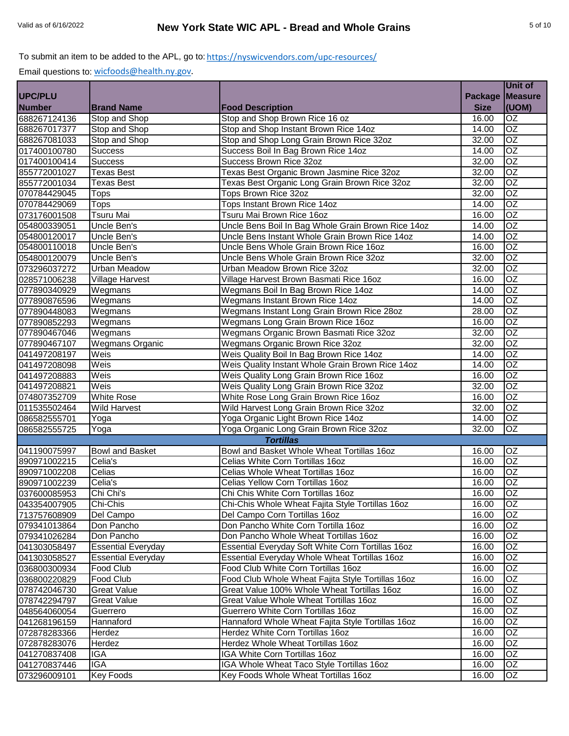|                |                           |                                                    |                | Unit of         |
|----------------|---------------------------|----------------------------------------------------|----------------|-----------------|
| <b>UPC/PLU</b> |                           |                                                    | <b>Package</b> | <b>Measure</b>  |
| <b>Number</b>  | <b>Brand Name</b>         | <b>Food Description</b>                            | <b>Size</b>    | (UOM)           |
| 688267124136   | Stop and Shop             | Stop and Shop Brown Rice 16 oz                     | 16.00          | OZ              |
| 688267017377   | Stop and Shop             | Stop and Shop Instant Brown Rice 14oz              | 14.00          | OZ              |
| 688267081033   | Stop and Shop             | Stop and Shop Long Grain Brown Rice 32oz           | 32.00          | $\overline{OZ}$ |
| 017400100780   | <b>Success</b>            | Success Boil In Bag Brown Rice 14oz                | 14.00          | $\overline{OZ}$ |
| 017400100414   | <b>Success</b>            | Success Brown Rice 32oz                            | 32.00          | $\overline{OZ}$ |
| 855772001027   | <b>Texas Best</b>         | Texas Best Organic Brown Jasmine Rice 32oz         | 32.00          | $\overline{OZ}$ |
| 855772001034   | <b>Texas Best</b>         | Texas Best Organic Long Grain Brown Rice 32oz      | 32.00          | $\overline{OZ}$ |
| 070784429045   | <b>Tops</b>               | Tops Brown Rice 32oz                               | 32.00          | OZ              |
| 070784429069   | <b>Tops</b>               | Tops Instant Brown Rice 14oz                       | 14.00          | $\overline{OZ}$ |
| 073176001508   | <b>Tsuru Mai</b>          | Tsuru Mai Brown Rice 16oz                          | 16.00          | <b>OZ</b>       |
| 054800339051   | Uncle Ben's               | Uncle Bens Boil In Bag Whole Grain Brown Rice 14oz | 14.00          | OZ              |
| 054800120017   | Uncle Ben's               | Uncle Bens Instant Whole Grain Brown Rice 14oz     | 14.00          | OZ              |
| 054800110018   | Uncle Ben's               | Uncle Bens Whole Grain Brown Rice 16oz             | 16.00          | OZ              |
| 054800120079   | Uncle Ben's               | Uncle Bens Whole Grain Brown Rice 32oz             | 32.00          | $\overline{OZ}$ |
| 073296037272   | <b>Urban Meadow</b>       | Urban Meadow Brown Rice 32oz                       | 32.00          | OZ              |
| 028571006238   | <b>Village Harvest</b>    | Village Harvest Brown Basmati Rice 16oz            | 16.00          | $\overline{OZ}$ |
| 077890340929   | Wegmans                   | Wegmans Boil In Bag Brown Rice 14oz                | 14.00          | $\overline{OZ}$ |
| 077890876596   | Wegmans                   | Wegmans Instant Brown Rice 14oz                    | 14.00          | $\overline{OZ}$ |
| 077890448083   | Wegmans                   | Wegmans Instant Long Grain Brown Rice 28oz         | 28.00          | OZ              |
| 077890852293   | Wegmans                   | Wegmans Long Grain Brown Rice 16oz                 | 16.00          | $\overline{OZ}$ |
| 077890467046   | Wegmans                   | Wegmans Organic Brown Basmati Rice 32oz            | 32.00          | $\overline{OZ}$ |
| 077890467107   | <b>Wegmans Organic</b>    | Wegmans Organic Brown Rice 32oz                    | 32.00          | $\overline{OZ}$ |
| 041497208197   | Weis                      | Weis Quality Boil In Bag Brown Rice 14oz           | 14.00          | OZ              |
| 041497208098   | Weis                      | Weis Quality Instant Whole Grain Brown Rice 14oz   | 14.00          | OZ              |
| 041497208883   | Weis                      | Weis Quality Long Grain Brown Rice 16oz            | 16.00          | OZ              |
| 041497208821   | Weis                      | Weis Quality Long Grain Brown Rice 32oz            | 32.00          | OZ              |
| 074807352709   | <b>White Rose</b>         | White Rose Long Grain Brown Rice 16oz              | 16.00          | $\overline{OZ}$ |
| 011535502464   | <b>Wild Harvest</b>       | Wild Harvest Long Grain Brown Rice 32oz            | 32.00          | $\overline{OZ}$ |
| 086582555701   | Yoga                      | Yoga Organic Light Brown Rice 14oz                 | 14.00          | OZ              |
| 086582555725   | Yoga                      | Yoga Organic Long Grain Brown Rice 32oz            | 32.00          | OZ              |
|                |                           | <b>Tortillas</b>                                   |                |                 |
| 041190075997   | <b>Bowl and Basket</b>    | Bowl and Basket Whole Wheat Tortillas 16oz         | 16.00          | OZ              |
| 890971002215   | Celia's                   | Celias White Corn Tortillas 16oz                   | 16.00          | <b>OZ</b>       |
| 890971002208   | Celias                    | Celias Whole Wheat Tortillas 16oz                  | 16.00          | $\overline{OZ}$ |
| 890971002239   | Celia's                   | Celias Yellow Corn Tortillas 16oz                  | 16.00          | $\overline{OZ}$ |
| 037600085953   | Chi Chi's                 | Chi Chis White Corn Tortillas 16oz                 | 16.00          | <b>OZ</b>       |
| 043354007905   | Chi-Chis                  | Chi-Chis Whole Wheat Fajita Style Tortillas 16oz   | 16.00          | OZ              |
| 713757608909   | Del Campo                 | Del Campo Corn Tortillas 16oz                      | 16.00          | OZ              |
| 079341013864   | Don Pancho                | Don Pancho White Corn Tortilla 16oz                | 16.00          | OZ              |
| 079341026284   | Don Pancho                | Don Pancho Whole Wheat Tortillas 16oz              | 16.00          | OZ              |
| 041303058497   | <b>Essential Everyday</b> | Essential Everyday Soft White Corn Tortillas 16oz  | 16.00          | OZ              |
| 041303058527   | <b>Essential Everyday</b> | Essential Everyday Whole Wheat Tortillas 16oz      | 16.00          | OZ              |
| 036800300934   | Food Club                 | Food Club White Corn Tortillas 16oz                | 16.00          | OZ              |
| 036800220829   | Food Club                 | Food Club Whole Wheat Fajita Style Tortillas 16oz  | 16.00          | OZ              |
| 078742046730   | <b>Great Value</b>        | Great Value 100% Whole Wheat Tortillas 16oz        | 16.00          | OZ              |
| 078742294797   | <b>Great Value</b>        | Great Value Whole Wheat Tortillas 16oz             | 16.00          | $\overline{OZ}$ |
| 048564060054   | Guerrero                  | Guerrero White Corn Tortillas 16oz                 | 16.00          | OZ              |
| 041268196159   | Hannaford                 | Hannaford Whole Wheat Fajita Style Tortillas 16oz  | 16.00          | OZ              |
| 072878283366   | Herdez                    | Herdez White Corn Tortillas 16oz                   | 16.00          | OZ              |
| 072878283076   | Herdez                    | Herdez Whole Wheat Tortillas 16oz                  | 16.00          | OZ              |
| 041270837408   | IGA                       | IGA White Corn Tortillas 16oz                      | 16.00          | OZ.             |
| 041270837446   | IGA                       | IGA Whole Wheat Taco Style Tortillas 16oz          | 16.00          | OZ              |
| 073296009101   | <b>Key Foods</b>          | Key Foods Whole Wheat Tortillas 16oz               | 16.00          | OZ              |
|                |                           |                                                    |                |                 |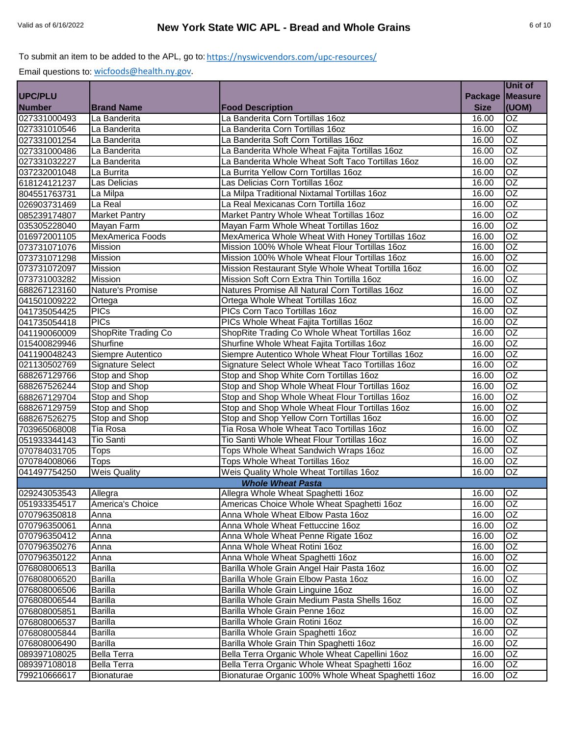|                |                         |                                                    |                | Unit of         |
|----------------|-------------------------|----------------------------------------------------|----------------|-----------------|
| <b>UPC/PLU</b> |                         |                                                    | <b>Package</b> | <b>Measure</b>  |
| <b>Number</b>  | <b>Brand Name</b>       | <b>Food Description</b>                            | <b>Size</b>    | (UOM)           |
| 027331000493   | La Banderita            | La Banderita Corn Tortillas 16oz                   | 16.00          | OZ              |
| 027331010546   | La Banderita            | La Banderita Corn Tortillas 16oz                   | 16.00          | OZ              |
| 027331001254   | La Banderita            | La Banderita Soft Corn Tortillas 16oz              | 16.00          | OZ              |
| 027331000486   | La Banderita            | La Banderita Whole Wheat Fajita Tortillas 16oz     | 16.00          | $\overline{OZ}$ |
| 027331032227   | La Banderita            | La Banderita Whole Wheat Soft Taco Tortillas 16oz  | 16.00          | $\overline{OZ}$ |
| 037232001048   | La Burrita              | La Burrita Yellow Corn Tortillas 16oz              | 16.00          | $\overline{OZ}$ |
| 618124121237   | Las Delicias            | Las Delicias Corn Tortillas 16oz                   | 16.00          | $\overline{OZ}$ |
| 804551763731   | La Milpa                | La Milpa Traditional Nixtamal Tortillas 16oz       | 16.00          | OZ              |
| 026903731469   | La Real                 | La Real Mexicanas Corn Tortilla 16oz               | 16.00          | $\overline{OZ}$ |
| 085239174807   | <b>Market Pantry</b>    | Market Pantry Whole Wheat Tortillas 16oz           | 16.00          | <b>OZ</b>       |
| 035305228040   | Mayan Farm              | Mayan Farm Whole Wheat Tortillas 16oz              | 16.00          | <b>OZ</b>       |
| 016972001105   | <b>MexAmerica Foods</b> | MexAmerica Whole Wheat With Honey Tortillas 16oz   | 16.00          | OZ              |
| 073731071076   | <b>Mission</b>          | Mission 100% Whole Wheat Flour Tortillas 16oz      | 16.00          | OZ              |
| 073731071298   | Mission                 | Mission 100% Whole Wheat Flour Tortillas 16oz      | 16.00          | <b>OZ</b>       |
| 073731072097   | Mission                 | Mission Restaurant Style Whole Wheat Tortilla 16oz | 16.00          | OZ              |
| 073731003282   | <b>Mission</b>          | Mission Soft Corn Extra Thin Tortilla 16oz         | 16.00          | $\overline{OZ}$ |
| 688267123160   | Nature's Promise        | Natures Promise All Natural Corn Tortillas 16oz    | 16.00          | $\overline{OZ}$ |
| 041501009222   | Ortega                  | Ortega Whole Wheat Tortillas 16oz                  | 16.00          | $\overline{OZ}$ |
| 041735054425   | <b>PICs</b>             | PICs Corn Taco Tortillas 16oz                      | 16.00          | $\overline{OZ}$ |
| 041735054418   | <b>PICs</b>             | PICs Whole Wheat Fajita Tortillas 16oz             | 16.00          | OZ              |
| 041190060009   | ShopRite Trading Co     | ShopRite Trading Co Whole Wheat Tortillas 16oz     | 16.00          | OZ              |
| 015400829946   | Shurfine                | Shurfine Whole Wheat Fajita Tortillas 16oz         | 16.00          | OZ              |
| 041190048243   | Siempre Autentico       | Siempre Autentico Whole Wheat Flour Tortillas 16oz | 16.00          | OZ              |
| 021130502769   | <b>Signature Select</b> | Signature Select Whole Wheat Taco Tortillas 16oz   | 16.00          | OZ              |
| 688267129766   | Stop and Shop           | Stop and Shop White Corn Tortillas 16oz            | 16.00          | OZ              |
| 688267526244   | Stop and Shop           | Stop and Shop Whole Wheat Flour Tortillas 16oz     | 16.00          | OZ              |
| 688267129704   | Stop and Shop           | Stop and Shop Whole Wheat Flour Tortillas 16oz     | 16.00          | $\overline{OZ}$ |
| 688267129759   | Stop and Shop           | Stop and Shop Whole Wheat Flour Tortillas 16oz     | 16.00          | $\overline{OZ}$ |
| 688267526275   | Stop and Shop           | Stop and Shop Yellow Corn Tortillas 16oz           | 16.00          | OZ              |
| 703965068008   | Tia Rosa                | Tia Rosa Whole Wheat Taco Tortillas 16oz           | 16.00          | $\overline{OZ}$ |
| 051933344143   | Tio Santi               | Tio Santi Whole Wheat Flour Tortillas 16oz         | 16.00          | $\overline{OZ}$ |
| 070784031705   | <b>Tops</b>             | Tops Whole Wheat Sandwich Wraps 16oz               | 16.00          | <b>OZ</b>       |
| 070784008066   | <b>Tops</b>             | Tops Whole Wheat Tortillas 16oz                    | 16.00          | OZ              |
| 041497754250   | <b>Weis Quality</b>     | Weis Quality Whole Wheat Tortillas 16oz            | 16.00          | OZ              |
|                |                         | <b>Whole Wheat Pasta</b>                           |                |                 |
| 029243053543   | Allegra                 | Allegra Whole Wheat Spaghetti 16oz                 | 16.00          | <b>OZ</b>       |
| 051933354517   | America's Choice        | Americas Choice Whole Wheat Spaghetti 16oz         | 16.00          | OZ              |
| 070796350818   | Anna                    | Anna Whole Wheat Elbow Pasta 16oz                  | 16.00          | OZ              |
| 070796350061   | Anna                    | Anna Whole Wheat Fettuccine 16oz                   | 16.00          | OZ              |
| 070796350412   | Anna                    | Anna Whole Wheat Penne Rigate 16oz                 | 16.00          | OZ              |
| 070796350276   | Anna                    | Anna Whole Wheat Rotini 16oz                       | 16.00          | OZ              |
| 070796350122   | Anna                    | Anna Whole Wheat Spaghetti 16oz                    | 16.00          | OZ              |
| 076808006513   | <b>Barilla</b>          | Barilla Whole Grain Angel Hair Pasta 16oz          | 16.00          | OZ              |
| 076808006520   | <b>Barilla</b>          | Barilla Whole Grain Elbow Pasta 16oz               | 16.00          | OZ              |
| 076808006506   | <b>Barilla</b>          | Barilla Whole Grain Linguine 16oz                  | 16.00          | OZ              |
| 076808006544   | <b>Barilla</b>          | Barilla Whole Grain Medium Pasta Shells 16oz       | 16.00          | $\overline{OZ}$ |
| 076808005851   | <b>Barilla</b>          | Barilla Whole Grain Penne 16oz                     | 16.00          | OZ              |
| 076808006537   | <b>Barilla</b>          | Barilla Whole Grain Rotini 16oz                    | 16.00          | OZ.             |
| 076808005844   | <b>Barilla</b>          | Barilla Whole Grain Spaghetti 16oz                 | 16.00          | OZ              |
| 076808006490   | <b>Barilla</b>          | Barilla Whole Grain Thin Spaghetti 16oz            | 16.00          | OZ              |
| 089397108025   | <b>Bella Terra</b>      | Bella Terra Organic Whole Wheat Capellini 16oz     | 16.00          | OZ              |
| 089397108018   | <b>Bella Terra</b>      | Bella Terra Organic Whole Wheat Spaghetti 16oz     | 16.00          | OZ              |
| 799210666617   | Bionaturae              | Bionaturae Organic 100% Whole Wheat Spaghetti 16oz | 16.00          | OZ              |
|                |                         |                                                    |                |                 |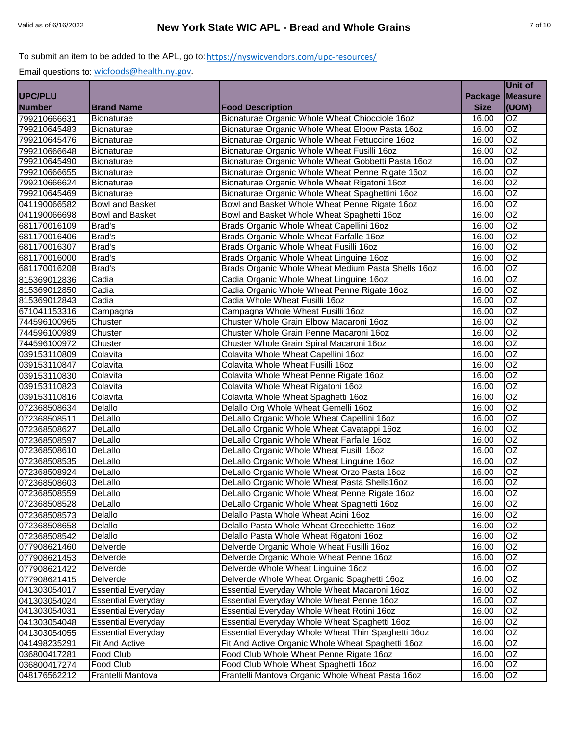| Package   Measure<br><b>Number</b><br>(UOM)<br><b>Brand Name</b><br><b>Food Description</b><br><b>Size</b><br>799210666631<br><b>OZ</b><br>Bionaturae Organic Whole Wheat Chiocciole 16oz<br>Bionaturae<br>16.00<br>$\overline{OZ}$<br>799210645483<br>Bionaturae Organic Whole Wheat Elbow Pasta 16oz<br>Bionaturae<br>16.00<br>OZ<br>Bionaturae Organic Whole Wheat Fettuccine 16oz<br>Bionaturae<br>16.00<br>$\overline{OZ}$<br>799210666648<br>Bionaturae<br>Bionaturae Organic Whole Wheat Fusilli 16oz<br>16.00<br>Bionaturae Organic Whole Wheat Gobbetti Pasta 16oz<br>OZ<br><b>Bionaturae</b><br>16.00<br>OZ<br><b>Bionaturae</b><br>Bionaturae Organic Whole Wheat Penne Rigate 16oz<br>16.00<br>$\overline{OZ}$<br>Bionaturae Organic Whole Wheat Rigatoni 16oz<br>16.00<br>Bionaturae<br>OZ<br>Bionaturae Organic Whole Wheat Spaghettini 16oz<br>16.00<br>Bionaturae<br>$\overline{OZ}$<br>Bowl and Basket Whole Wheat Penne Rigate 16oz<br><b>Bowl and Basket</b><br>16.00<br>$\overline{OZ}$<br>Bowl and Basket<br>Bowl and Basket Whole Wheat Spaghetti 16oz<br>16.00<br>OZ<br>Brad's<br>Brads Organic Whole Wheat Capellini 16oz<br>16.00<br><b>OZ</b><br>Brad's<br>Brads Organic Whole Wheat Farfalle 16oz<br>16.00<br>OZ<br>Brads Organic Whole Wheat Fusilli 16oz<br>Brad's<br>16.00<br>681170016000<br><b>Brad's</b><br>OZ<br>Brads Organic Whole Wheat Linguine 16oz<br>16.00<br>Brad's<br>Brads Organic Whole Wheat Medium Pasta Shells 16oz<br>OZ<br>16.00<br>$\overline{OZ}$<br>Cadia<br>Cadia Organic Whole Wheat Linguine 16oz<br>16.00<br>Cadia<br>Cadia Organic Whole Wheat Penne Rigate 16oz<br>OZ<br>16.00<br>$\overline{OZ}$<br>Cadia<br>Cadia Whole Wheat Fusilli 16oz<br>16.00<br>OZ<br>Campagna Whole Wheat Fusilli 16oz<br>16.00<br>Campagna<br>OZ<br>Chuster Whole Grain Elbow Macaroni 16oz<br>Chuster<br>16.00<br>OZ<br>Chuster Whole Grain Penne Macaroni 16oz<br>744596100989<br>Chuster<br>16.00<br>OZ<br>Chuster<br>Chuster Whole Grain Spiral Macaroni 16oz<br>16.00<br>$\overline{OZ}$<br>Colavita<br>Colavita Whole Wheat Capellini 16oz<br>16.00<br>$\overline{OZ}$<br>Colavita Whole Wheat Fusilli 16oz<br>Colavita<br>16.00<br>039153110830<br>$\overline{OZ}$<br>Colavita Whole Wheat Penne Rigate 16oz<br>Colavita<br>16.00<br>039153110823<br>$\overline{OZ}$<br>Colavita Whole Wheat Rigatoni 16oz<br>Colavita<br>16.00<br>Colavita Whole Wheat Spaghetti 16oz<br>$\overline{OZ}$<br>039153110816<br>Colavita<br>16.00<br>$\overline{OZ}$<br>072368508634<br>Delallo<br>Delallo Org Whole Wheat Gemelli 16oz<br>16.00<br>$\overline{OZ}$<br>DeLallo Organic Whole Wheat Capellini 16oz<br>072368508511<br>DeLallo<br>16.00<br>DeLallo<br>DeLallo Organic Whole Wheat Cavatappi 16oz<br>OZ<br>16.00<br>072368508627<br>$\overline{OZ}$<br>DeLallo<br>DeLallo Organic Whole Wheat Farfalle 16oz<br>16.00<br>072368508597<br>OZ<br>DeLallo Organic Whole Wheat Fusilli 16oz<br>072368508610<br>DeLallo<br>16.00<br>OZ<br>DeLallo Organic Whole Wheat Linguine 16oz<br>DeLallo<br>16.00<br>072368508535<br>$\overline{OZ}$<br>DeLallo<br>DeLallo Organic Whole Wheat Orzo Pasta 16oz<br>16.00<br>072368508924<br>$\overline{OZ}$<br>DeLallo<br>072368508603<br>DeLallo Organic Whole Wheat Pasta Shells16oz<br>16.00<br>OZ<br>DeLallo<br>16.00<br>DeLallo Organic Whole Wheat Penne Rigate 16oz<br>OZ<br>072368508528<br>DeLallo<br>DeLallo Organic Whole Wheat Spaghetti 16oz<br>16.00<br><b>OZ</b><br>072368508573<br>Delallo<br>Delallo Pasta Whole Wheat Acini 16oz<br>16.00<br>072368508658<br><b>OZ</b><br>Delallo<br>Delallo Pasta Whole Wheat Orecchiette 16oz<br>16.00<br>Delallo<br>Delallo Pasta Whole Wheat Rigatoni 16oz<br>16.00<br>OZ.<br>072368508542<br>OZ<br>Delverde<br>Delverde Organic Whole Wheat Fusilli 16oz<br>16.00<br>Delverde<br>Delverde Organic Whole Wheat Penne 16oz<br>16.00<br>OZ<br>077908621453<br>Delverde<br>Delverde Whole Wheat Linguine 16oz<br>16.00<br>OZ<br>077908621422<br>OZ<br>Delverde Whole Wheat Organic Spaghetti 16oz<br>16.00<br>Delverde<br>077908621415<br>Essential Everyday Whole Wheat Macaroni 16oz<br>OZ<br><b>Essential Everyday</b><br>16.00<br>041303054017<br>OZ<br><b>Essential Everyday</b><br>Essential Everyday Whole Wheat Penne 16oz<br>16.00<br>Essential Everyday Whole Wheat Rotini 16oz<br>OZ<br><b>Essential Everyday</b><br>16.00<br>OZ<br>Essential Everyday Whole Wheat Spaghetti 16oz<br>16.00<br><b>Essential Everyday</b><br>OZ<br><b>Essential Everyday</b><br>Essential Everyday Whole Wheat Thin Spaghetti 16oz<br>16.00<br>Fit And Active Organic Whole Wheat Spaghetti 16oz<br>OZ<br><b>Fit And Active</b><br>16.00<br>Food Club<br>Food Club Whole Wheat Penne Rigate 16oz<br>OZ<br>16.00<br>Food Club<br>Food Club Whole Wheat Spaghetti 16oz<br>16.00<br>OZ<br>Frantelli Mantova<br>Frantelli Mantova Organic Whole Wheat Pasta 16oz<br>16.00<br>OZ |                |  | Unit of |
|-----------------------------------------------------------------------------------------------------------------------------------------------------------------------------------------------------------------------------------------------------------------------------------------------------------------------------------------------------------------------------------------------------------------------------------------------------------------------------------------------------------------------------------------------------------------------------------------------------------------------------------------------------------------------------------------------------------------------------------------------------------------------------------------------------------------------------------------------------------------------------------------------------------------------------------------------------------------------------------------------------------------------------------------------------------------------------------------------------------------------------------------------------------------------------------------------------------------------------------------------------------------------------------------------------------------------------------------------------------------------------------------------------------------------------------------------------------------------------------------------------------------------------------------------------------------------------------------------------------------------------------------------------------------------------------------------------------------------------------------------------------------------------------------------------------------------------------------------------------------------------------------------------------------------------------------------------------------------------------------------------------------------------------------------------------------------------------------------------------------------------------------------------------------------------------------------------------------------------------------------------------------------------------------------------------------------------------------------------------------------------------------------------------------------------------------------------------------------------------------------------------------------------------------------------------------------------------------------------------------------------------------------------------------------------------------------------------------------------------------------------------------------------------------------------------------------------------------------------------------------------------------------------------------------------------------------------------------------------------------------------------------------------------------------------------------------------------------------------------------------------------------------------------------------------------------------------------------------------------------------------------------------------------------------------------------------------------------------------------------------------------------------------------------------------------------------------------------------------------------------------------------------------------------------------------------------------------------------------------------------------------------------------------------------------------------------------------------------------------------------------------------------------------------------------------------------------------------------------------------------------------------------------------------------------------------------------------------------------------------------------------------------------------------------------------------------------------------------------------------------------------------------------------------------------------------------------------------------------------------------------------------------------------------------------------------------------------------------------------------------------------------------------------------------------------------------------------------------------------------------------------------------------------------------------------------------------------------------------------------------------------------------------------------------------------------------------------------------------------------------------------------------------------------------------------------------------------------------------------------------------------------------|----------------|--|---------|
|                                                                                                                                                                                                                                                                                                                                                                                                                                                                                                                                                                                                                                                                                                                                                                                                                                                                                                                                                                                                                                                                                                                                                                                                                                                                                                                                                                                                                                                                                                                                                                                                                                                                                                                                                                                                                                                                                                                                                                                                                                                                                                                                                                                                                                                                                                                                                                                                                                                                                                                                                                                                                                                                                                                                                                                                                                                                                                                                                                                                                                                                                                                                                                                                                                                                                                                                                                                                                                                                                                                                                                                                                                                                                                                                                                                                                                                                                                                                                                                                                                                                                                                                                                                                                                                                                                                                                                                                                                                                                                                                                                                                                                                                                                                                                                                                                                                                                               | <b>UPC/PLU</b> |  |         |
|                                                                                                                                                                                                                                                                                                                                                                                                                                                                                                                                                                                                                                                                                                                                                                                                                                                                                                                                                                                                                                                                                                                                                                                                                                                                                                                                                                                                                                                                                                                                                                                                                                                                                                                                                                                                                                                                                                                                                                                                                                                                                                                                                                                                                                                                                                                                                                                                                                                                                                                                                                                                                                                                                                                                                                                                                                                                                                                                                                                                                                                                                                                                                                                                                                                                                                                                                                                                                                                                                                                                                                                                                                                                                                                                                                                                                                                                                                                                                                                                                                                                                                                                                                                                                                                                                                                                                                                                                                                                                                                                                                                                                                                                                                                                                                                                                                                                                               |                |  |         |
|                                                                                                                                                                                                                                                                                                                                                                                                                                                                                                                                                                                                                                                                                                                                                                                                                                                                                                                                                                                                                                                                                                                                                                                                                                                                                                                                                                                                                                                                                                                                                                                                                                                                                                                                                                                                                                                                                                                                                                                                                                                                                                                                                                                                                                                                                                                                                                                                                                                                                                                                                                                                                                                                                                                                                                                                                                                                                                                                                                                                                                                                                                                                                                                                                                                                                                                                                                                                                                                                                                                                                                                                                                                                                                                                                                                                                                                                                                                                                                                                                                                                                                                                                                                                                                                                                                                                                                                                                                                                                                                                                                                                                                                                                                                                                                                                                                                                                               |                |  |         |
|                                                                                                                                                                                                                                                                                                                                                                                                                                                                                                                                                                                                                                                                                                                                                                                                                                                                                                                                                                                                                                                                                                                                                                                                                                                                                                                                                                                                                                                                                                                                                                                                                                                                                                                                                                                                                                                                                                                                                                                                                                                                                                                                                                                                                                                                                                                                                                                                                                                                                                                                                                                                                                                                                                                                                                                                                                                                                                                                                                                                                                                                                                                                                                                                                                                                                                                                                                                                                                                                                                                                                                                                                                                                                                                                                                                                                                                                                                                                                                                                                                                                                                                                                                                                                                                                                                                                                                                                                                                                                                                                                                                                                                                                                                                                                                                                                                                                                               |                |  |         |
|                                                                                                                                                                                                                                                                                                                                                                                                                                                                                                                                                                                                                                                                                                                                                                                                                                                                                                                                                                                                                                                                                                                                                                                                                                                                                                                                                                                                                                                                                                                                                                                                                                                                                                                                                                                                                                                                                                                                                                                                                                                                                                                                                                                                                                                                                                                                                                                                                                                                                                                                                                                                                                                                                                                                                                                                                                                                                                                                                                                                                                                                                                                                                                                                                                                                                                                                                                                                                                                                                                                                                                                                                                                                                                                                                                                                                                                                                                                                                                                                                                                                                                                                                                                                                                                                                                                                                                                                                                                                                                                                                                                                                                                                                                                                                                                                                                                                                               | 799210645476   |  |         |
|                                                                                                                                                                                                                                                                                                                                                                                                                                                                                                                                                                                                                                                                                                                                                                                                                                                                                                                                                                                                                                                                                                                                                                                                                                                                                                                                                                                                                                                                                                                                                                                                                                                                                                                                                                                                                                                                                                                                                                                                                                                                                                                                                                                                                                                                                                                                                                                                                                                                                                                                                                                                                                                                                                                                                                                                                                                                                                                                                                                                                                                                                                                                                                                                                                                                                                                                                                                                                                                                                                                                                                                                                                                                                                                                                                                                                                                                                                                                                                                                                                                                                                                                                                                                                                                                                                                                                                                                                                                                                                                                                                                                                                                                                                                                                                                                                                                                                               |                |  |         |
|                                                                                                                                                                                                                                                                                                                                                                                                                                                                                                                                                                                                                                                                                                                                                                                                                                                                                                                                                                                                                                                                                                                                                                                                                                                                                                                                                                                                                                                                                                                                                                                                                                                                                                                                                                                                                                                                                                                                                                                                                                                                                                                                                                                                                                                                                                                                                                                                                                                                                                                                                                                                                                                                                                                                                                                                                                                                                                                                                                                                                                                                                                                                                                                                                                                                                                                                                                                                                                                                                                                                                                                                                                                                                                                                                                                                                                                                                                                                                                                                                                                                                                                                                                                                                                                                                                                                                                                                                                                                                                                                                                                                                                                                                                                                                                                                                                                                                               | 799210645490   |  |         |
|                                                                                                                                                                                                                                                                                                                                                                                                                                                                                                                                                                                                                                                                                                                                                                                                                                                                                                                                                                                                                                                                                                                                                                                                                                                                                                                                                                                                                                                                                                                                                                                                                                                                                                                                                                                                                                                                                                                                                                                                                                                                                                                                                                                                                                                                                                                                                                                                                                                                                                                                                                                                                                                                                                                                                                                                                                                                                                                                                                                                                                                                                                                                                                                                                                                                                                                                                                                                                                                                                                                                                                                                                                                                                                                                                                                                                                                                                                                                                                                                                                                                                                                                                                                                                                                                                                                                                                                                                                                                                                                                                                                                                                                                                                                                                                                                                                                                                               | 799210666655   |  |         |
|                                                                                                                                                                                                                                                                                                                                                                                                                                                                                                                                                                                                                                                                                                                                                                                                                                                                                                                                                                                                                                                                                                                                                                                                                                                                                                                                                                                                                                                                                                                                                                                                                                                                                                                                                                                                                                                                                                                                                                                                                                                                                                                                                                                                                                                                                                                                                                                                                                                                                                                                                                                                                                                                                                                                                                                                                                                                                                                                                                                                                                                                                                                                                                                                                                                                                                                                                                                                                                                                                                                                                                                                                                                                                                                                                                                                                                                                                                                                                                                                                                                                                                                                                                                                                                                                                                                                                                                                                                                                                                                                                                                                                                                                                                                                                                                                                                                                                               | 799210666624   |  |         |
|                                                                                                                                                                                                                                                                                                                                                                                                                                                                                                                                                                                                                                                                                                                                                                                                                                                                                                                                                                                                                                                                                                                                                                                                                                                                                                                                                                                                                                                                                                                                                                                                                                                                                                                                                                                                                                                                                                                                                                                                                                                                                                                                                                                                                                                                                                                                                                                                                                                                                                                                                                                                                                                                                                                                                                                                                                                                                                                                                                                                                                                                                                                                                                                                                                                                                                                                                                                                                                                                                                                                                                                                                                                                                                                                                                                                                                                                                                                                                                                                                                                                                                                                                                                                                                                                                                                                                                                                                                                                                                                                                                                                                                                                                                                                                                                                                                                                                               | 799210645469   |  |         |
|                                                                                                                                                                                                                                                                                                                                                                                                                                                                                                                                                                                                                                                                                                                                                                                                                                                                                                                                                                                                                                                                                                                                                                                                                                                                                                                                                                                                                                                                                                                                                                                                                                                                                                                                                                                                                                                                                                                                                                                                                                                                                                                                                                                                                                                                                                                                                                                                                                                                                                                                                                                                                                                                                                                                                                                                                                                                                                                                                                                                                                                                                                                                                                                                                                                                                                                                                                                                                                                                                                                                                                                                                                                                                                                                                                                                                                                                                                                                                                                                                                                                                                                                                                                                                                                                                                                                                                                                                                                                                                                                                                                                                                                                                                                                                                                                                                                                                               | 041190066582   |  |         |
|                                                                                                                                                                                                                                                                                                                                                                                                                                                                                                                                                                                                                                                                                                                                                                                                                                                                                                                                                                                                                                                                                                                                                                                                                                                                                                                                                                                                                                                                                                                                                                                                                                                                                                                                                                                                                                                                                                                                                                                                                                                                                                                                                                                                                                                                                                                                                                                                                                                                                                                                                                                                                                                                                                                                                                                                                                                                                                                                                                                                                                                                                                                                                                                                                                                                                                                                                                                                                                                                                                                                                                                                                                                                                                                                                                                                                                                                                                                                                                                                                                                                                                                                                                                                                                                                                                                                                                                                                                                                                                                                                                                                                                                                                                                                                                                                                                                                                               | 041190066698   |  |         |
|                                                                                                                                                                                                                                                                                                                                                                                                                                                                                                                                                                                                                                                                                                                                                                                                                                                                                                                                                                                                                                                                                                                                                                                                                                                                                                                                                                                                                                                                                                                                                                                                                                                                                                                                                                                                                                                                                                                                                                                                                                                                                                                                                                                                                                                                                                                                                                                                                                                                                                                                                                                                                                                                                                                                                                                                                                                                                                                                                                                                                                                                                                                                                                                                                                                                                                                                                                                                                                                                                                                                                                                                                                                                                                                                                                                                                                                                                                                                                                                                                                                                                                                                                                                                                                                                                                                                                                                                                                                                                                                                                                                                                                                                                                                                                                                                                                                                                               | 681170016109   |  |         |
|                                                                                                                                                                                                                                                                                                                                                                                                                                                                                                                                                                                                                                                                                                                                                                                                                                                                                                                                                                                                                                                                                                                                                                                                                                                                                                                                                                                                                                                                                                                                                                                                                                                                                                                                                                                                                                                                                                                                                                                                                                                                                                                                                                                                                                                                                                                                                                                                                                                                                                                                                                                                                                                                                                                                                                                                                                                                                                                                                                                                                                                                                                                                                                                                                                                                                                                                                                                                                                                                                                                                                                                                                                                                                                                                                                                                                                                                                                                                                                                                                                                                                                                                                                                                                                                                                                                                                                                                                                                                                                                                                                                                                                                                                                                                                                                                                                                                                               | 681170016406   |  |         |
|                                                                                                                                                                                                                                                                                                                                                                                                                                                                                                                                                                                                                                                                                                                                                                                                                                                                                                                                                                                                                                                                                                                                                                                                                                                                                                                                                                                                                                                                                                                                                                                                                                                                                                                                                                                                                                                                                                                                                                                                                                                                                                                                                                                                                                                                                                                                                                                                                                                                                                                                                                                                                                                                                                                                                                                                                                                                                                                                                                                                                                                                                                                                                                                                                                                                                                                                                                                                                                                                                                                                                                                                                                                                                                                                                                                                                                                                                                                                                                                                                                                                                                                                                                                                                                                                                                                                                                                                                                                                                                                                                                                                                                                                                                                                                                                                                                                                                               | 681170016307   |  |         |
|                                                                                                                                                                                                                                                                                                                                                                                                                                                                                                                                                                                                                                                                                                                                                                                                                                                                                                                                                                                                                                                                                                                                                                                                                                                                                                                                                                                                                                                                                                                                                                                                                                                                                                                                                                                                                                                                                                                                                                                                                                                                                                                                                                                                                                                                                                                                                                                                                                                                                                                                                                                                                                                                                                                                                                                                                                                                                                                                                                                                                                                                                                                                                                                                                                                                                                                                                                                                                                                                                                                                                                                                                                                                                                                                                                                                                                                                                                                                                                                                                                                                                                                                                                                                                                                                                                                                                                                                                                                                                                                                                                                                                                                                                                                                                                                                                                                                                               |                |  |         |
|                                                                                                                                                                                                                                                                                                                                                                                                                                                                                                                                                                                                                                                                                                                                                                                                                                                                                                                                                                                                                                                                                                                                                                                                                                                                                                                                                                                                                                                                                                                                                                                                                                                                                                                                                                                                                                                                                                                                                                                                                                                                                                                                                                                                                                                                                                                                                                                                                                                                                                                                                                                                                                                                                                                                                                                                                                                                                                                                                                                                                                                                                                                                                                                                                                                                                                                                                                                                                                                                                                                                                                                                                                                                                                                                                                                                                                                                                                                                                                                                                                                                                                                                                                                                                                                                                                                                                                                                                                                                                                                                                                                                                                                                                                                                                                                                                                                                                               | 681170016208   |  |         |
|                                                                                                                                                                                                                                                                                                                                                                                                                                                                                                                                                                                                                                                                                                                                                                                                                                                                                                                                                                                                                                                                                                                                                                                                                                                                                                                                                                                                                                                                                                                                                                                                                                                                                                                                                                                                                                                                                                                                                                                                                                                                                                                                                                                                                                                                                                                                                                                                                                                                                                                                                                                                                                                                                                                                                                                                                                                                                                                                                                                                                                                                                                                                                                                                                                                                                                                                                                                                                                                                                                                                                                                                                                                                                                                                                                                                                                                                                                                                                                                                                                                                                                                                                                                                                                                                                                                                                                                                                                                                                                                                                                                                                                                                                                                                                                                                                                                                                               | 815369012836   |  |         |
|                                                                                                                                                                                                                                                                                                                                                                                                                                                                                                                                                                                                                                                                                                                                                                                                                                                                                                                                                                                                                                                                                                                                                                                                                                                                                                                                                                                                                                                                                                                                                                                                                                                                                                                                                                                                                                                                                                                                                                                                                                                                                                                                                                                                                                                                                                                                                                                                                                                                                                                                                                                                                                                                                                                                                                                                                                                                                                                                                                                                                                                                                                                                                                                                                                                                                                                                                                                                                                                                                                                                                                                                                                                                                                                                                                                                                                                                                                                                                                                                                                                                                                                                                                                                                                                                                                                                                                                                                                                                                                                                                                                                                                                                                                                                                                                                                                                                                               | 815369012850   |  |         |
|                                                                                                                                                                                                                                                                                                                                                                                                                                                                                                                                                                                                                                                                                                                                                                                                                                                                                                                                                                                                                                                                                                                                                                                                                                                                                                                                                                                                                                                                                                                                                                                                                                                                                                                                                                                                                                                                                                                                                                                                                                                                                                                                                                                                                                                                                                                                                                                                                                                                                                                                                                                                                                                                                                                                                                                                                                                                                                                                                                                                                                                                                                                                                                                                                                                                                                                                                                                                                                                                                                                                                                                                                                                                                                                                                                                                                                                                                                                                                                                                                                                                                                                                                                                                                                                                                                                                                                                                                                                                                                                                                                                                                                                                                                                                                                                                                                                                                               | 815369012843   |  |         |
|                                                                                                                                                                                                                                                                                                                                                                                                                                                                                                                                                                                                                                                                                                                                                                                                                                                                                                                                                                                                                                                                                                                                                                                                                                                                                                                                                                                                                                                                                                                                                                                                                                                                                                                                                                                                                                                                                                                                                                                                                                                                                                                                                                                                                                                                                                                                                                                                                                                                                                                                                                                                                                                                                                                                                                                                                                                                                                                                                                                                                                                                                                                                                                                                                                                                                                                                                                                                                                                                                                                                                                                                                                                                                                                                                                                                                                                                                                                                                                                                                                                                                                                                                                                                                                                                                                                                                                                                                                                                                                                                                                                                                                                                                                                                                                                                                                                                                               | 671041153316   |  |         |
|                                                                                                                                                                                                                                                                                                                                                                                                                                                                                                                                                                                                                                                                                                                                                                                                                                                                                                                                                                                                                                                                                                                                                                                                                                                                                                                                                                                                                                                                                                                                                                                                                                                                                                                                                                                                                                                                                                                                                                                                                                                                                                                                                                                                                                                                                                                                                                                                                                                                                                                                                                                                                                                                                                                                                                                                                                                                                                                                                                                                                                                                                                                                                                                                                                                                                                                                                                                                                                                                                                                                                                                                                                                                                                                                                                                                                                                                                                                                                                                                                                                                                                                                                                                                                                                                                                                                                                                                                                                                                                                                                                                                                                                                                                                                                                                                                                                                                               | 744596100965   |  |         |
|                                                                                                                                                                                                                                                                                                                                                                                                                                                                                                                                                                                                                                                                                                                                                                                                                                                                                                                                                                                                                                                                                                                                                                                                                                                                                                                                                                                                                                                                                                                                                                                                                                                                                                                                                                                                                                                                                                                                                                                                                                                                                                                                                                                                                                                                                                                                                                                                                                                                                                                                                                                                                                                                                                                                                                                                                                                                                                                                                                                                                                                                                                                                                                                                                                                                                                                                                                                                                                                                                                                                                                                                                                                                                                                                                                                                                                                                                                                                                                                                                                                                                                                                                                                                                                                                                                                                                                                                                                                                                                                                                                                                                                                                                                                                                                                                                                                                                               |                |  |         |
|                                                                                                                                                                                                                                                                                                                                                                                                                                                                                                                                                                                                                                                                                                                                                                                                                                                                                                                                                                                                                                                                                                                                                                                                                                                                                                                                                                                                                                                                                                                                                                                                                                                                                                                                                                                                                                                                                                                                                                                                                                                                                                                                                                                                                                                                                                                                                                                                                                                                                                                                                                                                                                                                                                                                                                                                                                                                                                                                                                                                                                                                                                                                                                                                                                                                                                                                                                                                                                                                                                                                                                                                                                                                                                                                                                                                                                                                                                                                                                                                                                                                                                                                                                                                                                                                                                                                                                                                                                                                                                                                                                                                                                                                                                                                                                                                                                                                                               | 744596100972   |  |         |
|                                                                                                                                                                                                                                                                                                                                                                                                                                                                                                                                                                                                                                                                                                                                                                                                                                                                                                                                                                                                                                                                                                                                                                                                                                                                                                                                                                                                                                                                                                                                                                                                                                                                                                                                                                                                                                                                                                                                                                                                                                                                                                                                                                                                                                                                                                                                                                                                                                                                                                                                                                                                                                                                                                                                                                                                                                                                                                                                                                                                                                                                                                                                                                                                                                                                                                                                                                                                                                                                                                                                                                                                                                                                                                                                                                                                                                                                                                                                                                                                                                                                                                                                                                                                                                                                                                                                                                                                                                                                                                                                                                                                                                                                                                                                                                                                                                                                                               | 039153110809   |  |         |
|                                                                                                                                                                                                                                                                                                                                                                                                                                                                                                                                                                                                                                                                                                                                                                                                                                                                                                                                                                                                                                                                                                                                                                                                                                                                                                                                                                                                                                                                                                                                                                                                                                                                                                                                                                                                                                                                                                                                                                                                                                                                                                                                                                                                                                                                                                                                                                                                                                                                                                                                                                                                                                                                                                                                                                                                                                                                                                                                                                                                                                                                                                                                                                                                                                                                                                                                                                                                                                                                                                                                                                                                                                                                                                                                                                                                                                                                                                                                                                                                                                                                                                                                                                                                                                                                                                                                                                                                                                                                                                                                                                                                                                                                                                                                                                                                                                                                                               | 039153110847   |  |         |
|                                                                                                                                                                                                                                                                                                                                                                                                                                                                                                                                                                                                                                                                                                                                                                                                                                                                                                                                                                                                                                                                                                                                                                                                                                                                                                                                                                                                                                                                                                                                                                                                                                                                                                                                                                                                                                                                                                                                                                                                                                                                                                                                                                                                                                                                                                                                                                                                                                                                                                                                                                                                                                                                                                                                                                                                                                                                                                                                                                                                                                                                                                                                                                                                                                                                                                                                                                                                                                                                                                                                                                                                                                                                                                                                                                                                                                                                                                                                                                                                                                                                                                                                                                                                                                                                                                                                                                                                                                                                                                                                                                                                                                                                                                                                                                                                                                                                                               |                |  |         |
|                                                                                                                                                                                                                                                                                                                                                                                                                                                                                                                                                                                                                                                                                                                                                                                                                                                                                                                                                                                                                                                                                                                                                                                                                                                                                                                                                                                                                                                                                                                                                                                                                                                                                                                                                                                                                                                                                                                                                                                                                                                                                                                                                                                                                                                                                                                                                                                                                                                                                                                                                                                                                                                                                                                                                                                                                                                                                                                                                                                                                                                                                                                                                                                                                                                                                                                                                                                                                                                                                                                                                                                                                                                                                                                                                                                                                                                                                                                                                                                                                                                                                                                                                                                                                                                                                                                                                                                                                                                                                                                                                                                                                                                                                                                                                                                                                                                                                               |                |  |         |
|                                                                                                                                                                                                                                                                                                                                                                                                                                                                                                                                                                                                                                                                                                                                                                                                                                                                                                                                                                                                                                                                                                                                                                                                                                                                                                                                                                                                                                                                                                                                                                                                                                                                                                                                                                                                                                                                                                                                                                                                                                                                                                                                                                                                                                                                                                                                                                                                                                                                                                                                                                                                                                                                                                                                                                                                                                                                                                                                                                                                                                                                                                                                                                                                                                                                                                                                                                                                                                                                                                                                                                                                                                                                                                                                                                                                                                                                                                                                                                                                                                                                                                                                                                                                                                                                                                                                                                                                                                                                                                                                                                                                                                                                                                                                                                                                                                                                                               |                |  |         |
|                                                                                                                                                                                                                                                                                                                                                                                                                                                                                                                                                                                                                                                                                                                                                                                                                                                                                                                                                                                                                                                                                                                                                                                                                                                                                                                                                                                                                                                                                                                                                                                                                                                                                                                                                                                                                                                                                                                                                                                                                                                                                                                                                                                                                                                                                                                                                                                                                                                                                                                                                                                                                                                                                                                                                                                                                                                                                                                                                                                                                                                                                                                                                                                                                                                                                                                                                                                                                                                                                                                                                                                                                                                                                                                                                                                                                                                                                                                                                                                                                                                                                                                                                                                                                                                                                                                                                                                                                                                                                                                                                                                                                                                                                                                                                                                                                                                                                               |                |  |         |
|                                                                                                                                                                                                                                                                                                                                                                                                                                                                                                                                                                                                                                                                                                                                                                                                                                                                                                                                                                                                                                                                                                                                                                                                                                                                                                                                                                                                                                                                                                                                                                                                                                                                                                                                                                                                                                                                                                                                                                                                                                                                                                                                                                                                                                                                                                                                                                                                                                                                                                                                                                                                                                                                                                                                                                                                                                                                                                                                                                                                                                                                                                                                                                                                                                                                                                                                                                                                                                                                                                                                                                                                                                                                                                                                                                                                                                                                                                                                                                                                                                                                                                                                                                                                                                                                                                                                                                                                                                                                                                                                                                                                                                                                                                                                                                                                                                                                                               |                |  |         |
|                                                                                                                                                                                                                                                                                                                                                                                                                                                                                                                                                                                                                                                                                                                                                                                                                                                                                                                                                                                                                                                                                                                                                                                                                                                                                                                                                                                                                                                                                                                                                                                                                                                                                                                                                                                                                                                                                                                                                                                                                                                                                                                                                                                                                                                                                                                                                                                                                                                                                                                                                                                                                                                                                                                                                                                                                                                                                                                                                                                                                                                                                                                                                                                                                                                                                                                                                                                                                                                                                                                                                                                                                                                                                                                                                                                                                                                                                                                                                                                                                                                                                                                                                                                                                                                                                                                                                                                                                                                                                                                                                                                                                                                                                                                                                                                                                                                                                               |                |  |         |
|                                                                                                                                                                                                                                                                                                                                                                                                                                                                                                                                                                                                                                                                                                                                                                                                                                                                                                                                                                                                                                                                                                                                                                                                                                                                                                                                                                                                                                                                                                                                                                                                                                                                                                                                                                                                                                                                                                                                                                                                                                                                                                                                                                                                                                                                                                                                                                                                                                                                                                                                                                                                                                                                                                                                                                                                                                                                                                                                                                                                                                                                                                                                                                                                                                                                                                                                                                                                                                                                                                                                                                                                                                                                                                                                                                                                                                                                                                                                                                                                                                                                                                                                                                                                                                                                                                                                                                                                                                                                                                                                                                                                                                                                                                                                                                                                                                                                                               |                |  |         |
|                                                                                                                                                                                                                                                                                                                                                                                                                                                                                                                                                                                                                                                                                                                                                                                                                                                                                                                                                                                                                                                                                                                                                                                                                                                                                                                                                                                                                                                                                                                                                                                                                                                                                                                                                                                                                                                                                                                                                                                                                                                                                                                                                                                                                                                                                                                                                                                                                                                                                                                                                                                                                                                                                                                                                                                                                                                                                                                                                                                                                                                                                                                                                                                                                                                                                                                                                                                                                                                                                                                                                                                                                                                                                                                                                                                                                                                                                                                                                                                                                                                                                                                                                                                                                                                                                                                                                                                                                                                                                                                                                                                                                                                                                                                                                                                                                                                                                               |                |  |         |
|                                                                                                                                                                                                                                                                                                                                                                                                                                                                                                                                                                                                                                                                                                                                                                                                                                                                                                                                                                                                                                                                                                                                                                                                                                                                                                                                                                                                                                                                                                                                                                                                                                                                                                                                                                                                                                                                                                                                                                                                                                                                                                                                                                                                                                                                                                                                                                                                                                                                                                                                                                                                                                                                                                                                                                                                                                                                                                                                                                                                                                                                                                                                                                                                                                                                                                                                                                                                                                                                                                                                                                                                                                                                                                                                                                                                                                                                                                                                                                                                                                                                                                                                                                                                                                                                                                                                                                                                                                                                                                                                                                                                                                                                                                                                                                                                                                                                                               |                |  |         |
|                                                                                                                                                                                                                                                                                                                                                                                                                                                                                                                                                                                                                                                                                                                                                                                                                                                                                                                                                                                                                                                                                                                                                                                                                                                                                                                                                                                                                                                                                                                                                                                                                                                                                                                                                                                                                                                                                                                                                                                                                                                                                                                                                                                                                                                                                                                                                                                                                                                                                                                                                                                                                                                                                                                                                                                                                                                                                                                                                                                                                                                                                                                                                                                                                                                                                                                                                                                                                                                                                                                                                                                                                                                                                                                                                                                                                                                                                                                                                                                                                                                                                                                                                                                                                                                                                                                                                                                                                                                                                                                                                                                                                                                                                                                                                                                                                                                                                               |                |  |         |
|                                                                                                                                                                                                                                                                                                                                                                                                                                                                                                                                                                                                                                                                                                                                                                                                                                                                                                                                                                                                                                                                                                                                                                                                                                                                                                                                                                                                                                                                                                                                                                                                                                                                                                                                                                                                                                                                                                                                                                                                                                                                                                                                                                                                                                                                                                                                                                                                                                                                                                                                                                                                                                                                                                                                                                                                                                                                                                                                                                                                                                                                                                                                                                                                                                                                                                                                                                                                                                                                                                                                                                                                                                                                                                                                                                                                                                                                                                                                                                                                                                                                                                                                                                                                                                                                                                                                                                                                                                                                                                                                                                                                                                                                                                                                                                                                                                                                                               |                |  |         |
|                                                                                                                                                                                                                                                                                                                                                                                                                                                                                                                                                                                                                                                                                                                                                                                                                                                                                                                                                                                                                                                                                                                                                                                                                                                                                                                                                                                                                                                                                                                                                                                                                                                                                                                                                                                                                                                                                                                                                                                                                                                                                                                                                                                                                                                                                                                                                                                                                                                                                                                                                                                                                                                                                                                                                                                                                                                                                                                                                                                                                                                                                                                                                                                                                                                                                                                                                                                                                                                                                                                                                                                                                                                                                                                                                                                                                                                                                                                                                                                                                                                                                                                                                                                                                                                                                                                                                                                                                                                                                                                                                                                                                                                                                                                                                                                                                                                                                               | 072368508559   |  |         |
|                                                                                                                                                                                                                                                                                                                                                                                                                                                                                                                                                                                                                                                                                                                                                                                                                                                                                                                                                                                                                                                                                                                                                                                                                                                                                                                                                                                                                                                                                                                                                                                                                                                                                                                                                                                                                                                                                                                                                                                                                                                                                                                                                                                                                                                                                                                                                                                                                                                                                                                                                                                                                                                                                                                                                                                                                                                                                                                                                                                                                                                                                                                                                                                                                                                                                                                                                                                                                                                                                                                                                                                                                                                                                                                                                                                                                                                                                                                                                                                                                                                                                                                                                                                                                                                                                                                                                                                                                                                                                                                                                                                                                                                                                                                                                                                                                                                                                               |                |  |         |
|                                                                                                                                                                                                                                                                                                                                                                                                                                                                                                                                                                                                                                                                                                                                                                                                                                                                                                                                                                                                                                                                                                                                                                                                                                                                                                                                                                                                                                                                                                                                                                                                                                                                                                                                                                                                                                                                                                                                                                                                                                                                                                                                                                                                                                                                                                                                                                                                                                                                                                                                                                                                                                                                                                                                                                                                                                                                                                                                                                                                                                                                                                                                                                                                                                                                                                                                                                                                                                                                                                                                                                                                                                                                                                                                                                                                                                                                                                                                                                                                                                                                                                                                                                                                                                                                                                                                                                                                                                                                                                                                                                                                                                                                                                                                                                                                                                                                                               |                |  |         |
|                                                                                                                                                                                                                                                                                                                                                                                                                                                                                                                                                                                                                                                                                                                                                                                                                                                                                                                                                                                                                                                                                                                                                                                                                                                                                                                                                                                                                                                                                                                                                                                                                                                                                                                                                                                                                                                                                                                                                                                                                                                                                                                                                                                                                                                                                                                                                                                                                                                                                                                                                                                                                                                                                                                                                                                                                                                                                                                                                                                                                                                                                                                                                                                                                                                                                                                                                                                                                                                                                                                                                                                                                                                                                                                                                                                                                                                                                                                                                                                                                                                                                                                                                                                                                                                                                                                                                                                                                                                                                                                                                                                                                                                                                                                                                                                                                                                                                               |                |  |         |
|                                                                                                                                                                                                                                                                                                                                                                                                                                                                                                                                                                                                                                                                                                                                                                                                                                                                                                                                                                                                                                                                                                                                                                                                                                                                                                                                                                                                                                                                                                                                                                                                                                                                                                                                                                                                                                                                                                                                                                                                                                                                                                                                                                                                                                                                                                                                                                                                                                                                                                                                                                                                                                                                                                                                                                                                                                                                                                                                                                                                                                                                                                                                                                                                                                                                                                                                                                                                                                                                                                                                                                                                                                                                                                                                                                                                                                                                                                                                                                                                                                                                                                                                                                                                                                                                                                                                                                                                                                                                                                                                                                                                                                                                                                                                                                                                                                                                                               |                |  |         |
|                                                                                                                                                                                                                                                                                                                                                                                                                                                                                                                                                                                                                                                                                                                                                                                                                                                                                                                                                                                                                                                                                                                                                                                                                                                                                                                                                                                                                                                                                                                                                                                                                                                                                                                                                                                                                                                                                                                                                                                                                                                                                                                                                                                                                                                                                                                                                                                                                                                                                                                                                                                                                                                                                                                                                                                                                                                                                                                                                                                                                                                                                                                                                                                                                                                                                                                                                                                                                                                                                                                                                                                                                                                                                                                                                                                                                                                                                                                                                                                                                                                                                                                                                                                                                                                                                                                                                                                                                                                                                                                                                                                                                                                                                                                                                                                                                                                                                               | 077908621460   |  |         |
|                                                                                                                                                                                                                                                                                                                                                                                                                                                                                                                                                                                                                                                                                                                                                                                                                                                                                                                                                                                                                                                                                                                                                                                                                                                                                                                                                                                                                                                                                                                                                                                                                                                                                                                                                                                                                                                                                                                                                                                                                                                                                                                                                                                                                                                                                                                                                                                                                                                                                                                                                                                                                                                                                                                                                                                                                                                                                                                                                                                                                                                                                                                                                                                                                                                                                                                                                                                                                                                                                                                                                                                                                                                                                                                                                                                                                                                                                                                                                                                                                                                                                                                                                                                                                                                                                                                                                                                                                                                                                                                                                                                                                                                                                                                                                                                                                                                                                               |                |  |         |
|                                                                                                                                                                                                                                                                                                                                                                                                                                                                                                                                                                                                                                                                                                                                                                                                                                                                                                                                                                                                                                                                                                                                                                                                                                                                                                                                                                                                                                                                                                                                                                                                                                                                                                                                                                                                                                                                                                                                                                                                                                                                                                                                                                                                                                                                                                                                                                                                                                                                                                                                                                                                                                                                                                                                                                                                                                                                                                                                                                                                                                                                                                                                                                                                                                                                                                                                                                                                                                                                                                                                                                                                                                                                                                                                                                                                                                                                                                                                                                                                                                                                                                                                                                                                                                                                                                                                                                                                                                                                                                                                                                                                                                                                                                                                                                                                                                                                                               |                |  |         |
|                                                                                                                                                                                                                                                                                                                                                                                                                                                                                                                                                                                                                                                                                                                                                                                                                                                                                                                                                                                                                                                                                                                                                                                                                                                                                                                                                                                                                                                                                                                                                                                                                                                                                                                                                                                                                                                                                                                                                                                                                                                                                                                                                                                                                                                                                                                                                                                                                                                                                                                                                                                                                                                                                                                                                                                                                                                                                                                                                                                                                                                                                                                                                                                                                                                                                                                                                                                                                                                                                                                                                                                                                                                                                                                                                                                                                                                                                                                                                                                                                                                                                                                                                                                                                                                                                                                                                                                                                                                                                                                                                                                                                                                                                                                                                                                                                                                                                               |                |  |         |
|                                                                                                                                                                                                                                                                                                                                                                                                                                                                                                                                                                                                                                                                                                                                                                                                                                                                                                                                                                                                                                                                                                                                                                                                                                                                                                                                                                                                                                                                                                                                                                                                                                                                                                                                                                                                                                                                                                                                                                                                                                                                                                                                                                                                                                                                                                                                                                                                                                                                                                                                                                                                                                                                                                                                                                                                                                                                                                                                                                                                                                                                                                                                                                                                                                                                                                                                                                                                                                                                                                                                                                                                                                                                                                                                                                                                                                                                                                                                                                                                                                                                                                                                                                                                                                                                                                                                                                                                                                                                                                                                                                                                                                                                                                                                                                                                                                                                                               |                |  |         |
|                                                                                                                                                                                                                                                                                                                                                                                                                                                                                                                                                                                                                                                                                                                                                                                                                                                                                                                                                                                                                                                                                                                                                                                                                                                                                                                                                                                                                                                                                                                                                                                                                                                                                                                                                                                                                                                                                                                                                                                                                                                                                                                                                                                                                                                                                                                                                                                                                                                                                                                                                                                                                                                                                                                                                                                                                                                                                                                                                                                                                                                                                                                                                                                                                                                                                                                                                                                                                                                                                                                                                                                                                                                                                                                                                                                                                                                                                                                                                                                                                                                                                                                                                                                                                                                                                                                                                                                                                                                                                                                                                                                                                                                                                                                                                                                                                                                                                               | 041303054024   |  |         |
|                                                                                                                                                                                                                                                                                                                                                                                                                                                                                                                                                                                                                                                                                                                                                                                                                                                                                                                                                                                                                                                                                                                                                                                                                                                                                                                                                                                                                                                                                                                                                                                                                                                                                                                                                                                                                                                                                                                                                                                                                                                                                                                                                                                                                                                                                                                                                                                                                                                                                                                                                                                                                                                                                                                                                                                                                                                                                                                                                                                                                                                                                                                                                                                                                                                                                                                                                                                                                                                                                                                                                                                                                                                                                                                                                                                                                                                                                                                                                                                                                                                                                                                                                                                                                                                                                                                                                                                                                                                                                                                                                                                                                                                                                                                                                                                                                                                                                               | 041303054031   |  |         |
|                                                                                                                                                                                                                                                                                                                                                                                                                                                                                                                                                                                                                                                                                                                                                                                                                                                                                                                                                                                                                                                                                                                                                                                                                                                                                                                                                                                                                                                                                                                                                                                                                                                                                                                                                                                                                                                                                                                                                                                                                                                                                                                                                                                                                                                                                                                                                                                                                                                                                                                                                                                                                                                                                                                                                                                                                                                                                                                                                                                                                                                                                                                                                                                                                                                                                                                                                                                                                                                                                                                                                                                                                                                                                                                                                                                                                                                                                                                                                                                                                                                                                                                                                                                                                                                                                                                                                                                                                                                                                                                                                                                                                                                                                                                                                                                                                                                                                               | 041303054048   |  |         |
|                                                                                                                                                                                                                                                                                                                                                                                                                                                                                                                                                                                                                                                                                                                                                                                                                                                                                                                                                                                                                                                                                                                                                                                                                                                                                                                                                                                                                                                                                                                                                                                                                                                                                                                                                                                                                                                                                                                                                                                                                                                                                                                                                                                                                                                                                                                                                                                                                                                                                                                                                                                                                                                                                                                                                                                                                                                                                                                                                                                                                                                                                                                                                                                                                                                                                                                                                                                                                                                                                                                                                                                                                                                                                                                                                                                                                                                                                                                                                                                                                                                                                                                                                                                                                                                                                                                                                                                                                                                                                                                                                                                                                                                                                                                                                                                                                                                                                               | 041303054055   |  |         |
|                                                                                                                                                                                                                                                                                                                                                                                                                                                                                                                                                                                                                                                                                                                                                                                                                                                                                                                                                                                                                                                                                                                                                                                                                                                                                                                                                                                                                                                                                                                                                                                                                                                                                                                                                                                                                                                                                                                                                                                                                                                                                                                                                                                                                                                                                                                                                                                                                                                                                                                                                                                                                                                                                                                                                                                                                                                                                                                                                                                                                                                                                                                                                                                                                                                                                                                                                                                                                                                                                                                                                                                                                                                                                                                                                                                                                                                                                                                                                                                                                                                                                                                                                                                                                                                                                                                                                                                                                                                                                                                                                                                                                                                                                                                                                                                                                                                                                               | 041498235291   |  |         |
|                                                                                                                                                                                                                                                                                                                                                                                                                                                                                                                                                                                                                                                                                                                                                                                                                                                                                                                                                                                                                                                                                                                                                                                                                                                                                                                                                                                                                                                                                                                                                                                                                                                                                                                                                                                                                                                                                                                                                                                                                                                                                                                                                                                                                                                                                                                                                                                                                                                                                                                                                                                                                                                                                                                                                                                                                                                                                                                                                                                                                                                                                                                                                                                                                                                                                                                                                                                                                                                                                                                                                                                                                                                                                                                                                                                                                                                                                                                                                                                                                                                                                                                                                                                                                                                                                                                                                                                                                                                                                                                                                                                                                                                                                                                                                                                                                                                                                               | 036800417281   |  |         |
|                                                                                                                                                                                                                                                                                                                                                                                                                                                                                                                                                                                                                                                                                                                                                                                                                                                                                                                                                                                                                                                                                                                                                                                                                                                                                                                                                                                                                                                                                                                                                                                                                                                                                                                                                                                                                                                                                                                                                                                                                                                                                                                                                                                                                                                                                                                                                                                                                                                                                                                                                                                                                                                                                                                                                                                                                                                                                                                                                                                                                                                                                                                                                                                                                                                                                                                                                                                                                                                                                                                                                                                                                                                                                                                                                                                                                                                                                                                                                                                                                                                                                                                                                                                                                                                                                                                                                                                                                                                                                                                                                                                                                                                                                                                                                                                                                                                                                               | 036800417274   |  |         |
|                                                                                                                                                                                                                                                                                                                                                                                                                                                                                                                                                                                                                                                                                                                                                                                                                                                                                                                                                                                                                                                                                                                                                                                                                                                                                                                                                                                                                                                                                                                                                                                                                                                                                                                                                                                                                                                                                                                                                                                                                                                                                                                                                                                                                                                                                                                                                                                                                                                                                                                                                                                                                                                                                                                                                                                                                                                                                                                                                                                                                                                                                                                                                                                                                                                                                                                                                                                                                                                                                                                                                                                                                                                                                                                                                                                                                                                                                                                                                                                                                                                                                                                                                                                                                                                                                                                                                                                                                                                                                                                                                                                                                                                                                                                                                                                                                                                                                               | 048176562212   |  |         |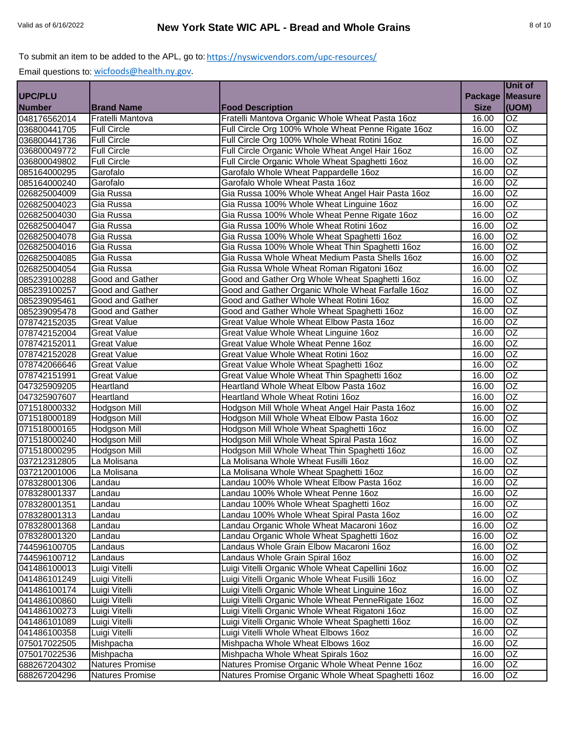|                |                        |                                                    |                | Unit of         |
|----------------|------------------------|----------------------------------------------------|----------------|-----------------|
| <b>UPC/PLU</b> |                        |                                                    | <b>Package</b> | <b>Measure</b>  |
| <b>Number</b>  | <b>Brand Name</b>      | <b>Food Description</b>                            | <b>Size</b>    | (UOM)           |
| 048176562014   | Fratelli Mantova       | Fratelli Mantova Organic Whole Wheat Pasta 16oz    | 16.00          | OZ              |
| 036800441705   | <b>Full Circle</b>     | Full Circle Org 100% Whole Wheat Penne Rigate 16oz | 16.00          | $\overline{OZ}$ |
| 036800441736   | <b>Full Circle</b>     | Full Circle Org 100% Whole Wheat Rotini 16oz       | 16.00          | <b>OZ</b>       |
| 036800049772   | <b>Full Circle</b>     | Full Circle Organic Whole Wheat Angel Hair 16oz    | 16.00          | OZ              |
| 036800049802   | <b>Full Circle</b>     | Full Circle Organic Whole Wheat Spaghetti 16oz     | 16.00          | $\overline{OZ}$ |
| 085164000295   | Garofalo               | Garofalo Whole Wheat Pappardelle 16oz              | 16.00          | $\overline{OZ}$ |
| 085164000240   | Garofalo               | Garofalo Whole Wheat Pasta 16oz                    | 16.00          | $\overline{OZ}$ |
| 026825004009   | Gia Russa              | Gia Russa 100% Whole Wheat Angel Hair Pasta 16oz   | 16.00          | OZ              |
| 026825004023   | Gia Russa              | Gia Russa 100% Whole Wheat Linguine 16oz           | 16.00          | $\overline{OZ}$ |
| 026825004030   | Gia Russa              | Gia Russa 100% Whole Wheat Penne Rigate 16oz       | 16.00          | <b>OZ</b>       |
| 026825004047   | Gia Russa              | Gia Russa 100% Whole Wheat Rotini 16oz             | 16.00          | $\overline{OZ}$ |
| 026825004078   | Gia Russa              | Gia Russa 100% Whole Wheat Spaghetti 16oz          | 16.00          | $\overline{OZ}$ |
| 026825004016   | Gia Russa              | Gia Russa 100% Whole Wheat Thin Spaghetti 16oz     | 16.00          | OZ              |
| 026825004085   | Gia Russa              | Gia Russa Whole Wheat Medium Pasta Shells 16oz     | 16.00          | <b>OZ</b>       |
| 026825004054   | Gia Russa              | Gia Russa Whole Wheat Roman Rigatoni 16oz          | 16.00          | $\overline{OZ}$ |
| 085239100288   | Good and Gather        | Good and Gather Org Whole Wheat Spaghetti 16oz     | 16.00          | $\overline{OZ}$ |
| 085239100257   | Good and Gather        | Good and Gather Organic Whole Wheat Farfalle 16oz  | 16.00          | OZ              |
| 085239095461   | <b>Good and Gather</b> | Good and Gather Whole Wheat Rotini 16oz            | 16.00          | $\overline{OZ}$ |
| 085239095478   | Good and Gather        | Good and Gather Whole Wheat Spaghetti 16oz         | 16.00          | $\overline{OZ}$ |
| 078742152035   | Great Value            | Great Value Whole Wheat Elbow Pasta 16oz           | 16.00          | $\overline{OZ}$ |
| 078742152004   | <b>Great Value</b>     | Great Value Whole Wheat Linguine 16oz              | 16.00          | $\overline{OZ}$ |
| 078742152011   | <b>Great Value</b>     | Great Value Whole Wheat Penne 16oz                 | 16.00          | OZ              |
| 078742152028   | <b>Great Value</b>     | Great Value Whole Wheat Rotini 16oz                | 16.00          | $\overline{OZ}$ |
| 078742066646   | <b>Great Value</b>     | Great Value Whole Wheat Spaghetti 16oz             | 16.00          | $\overline{OZ}$ |
| 078742151991   | <b>Great Value</b>     | Great Value Whole Wheat Thin Spaghetti 16oz        | 16.00          | $\overline{OZ}$ |
| 047325909205   | Heartland              | Heartland Whole Wheat Elbow Pasta 16oz             | 16.00          | OZ              |
| 047325907607   | Heartland              | Heartland Whole Wheat Rotini 16oz                  | 16.00          | $\overline{OZ}$ |
| 071518000332   | <b>Hodgson Mill</b>    | Hodgson Mill Whole Wheat Angel Hair Pasta 16oz     | 16.00          | $\overline{OZ}$ |
| 071518000189   | Hodgson Mill           | Hodgson Mill Whole Wheat Elbow Pasta 16oz          | 16.00          | OZ              |
| 071518000165   | Hodgson Mill           | Hodgson Mill Whole Wheat Spaghetti 16oz            | 16.00          | $\overline{OZ}$ |
| 071518000240   | Hodgson Mill           | Hodgson Mill Whole Wheat Spiral Pasta 16oz         | 16.00          | $\overline{OZ}$ |
| 071518000295   | <b>Hodgson Mill</b>    | Hodgson Mill Whole Wheat Thin Spaghetti 16oz       | 16.00          | <b>OZ</b>       |
| 037212312805   | La Molisana            | La Molisana Whole Wheat Fusilli 16oz               | 16.00          | OZ              |
| 037212001006   | La Molisana            | La Molisana Whole Wheat Spaghetti 16oz             | 16.00          | $\overline{OZ}$ |
| 078328001306   | Landau                 | Landau 100% Whole Wheat Elbow Pasta 16oz           | 16.00          | $\overline{OZ}$ |
| 078328001337   | Landau                 | Landau 100% Whole Wheat Penne 16oz                 | 16.00          | <b>OZ</b>       |
| 078328001351   | Landau                 | Landau 100% Whole Wheat Spaghetti 16oz             | 16.00          | OZ              |
| 078328001313   | Landau                 | Landau 100% Whole Wheat Spiral Pasta 16oz          | 16.00          | OZ              |
| 078328001368   | Landau                 | Landau Organic Whole Wheat Macaroni 16oz           | 16.00          | OZ              |
| 078328001320   | Landau                 | Landau Organic Whole Wheat Spaghetti 16oz          | 16.00          | OZ              |
| 744596100705   | Landaus                | Landaus Whole Grain Elbow Macaroni 16oz            | 16.00          | OZ              |
| 744596100712   | Landaus                | Landaus Whole Grain Spiral 16oz                    | 16.00          | OZ              |
| 041486100013   | Luigi Vitelli          | Luigi Vitelli Organic Whole Wheat Capellini 16oz   | 16.00          | OZ              |
| 041486101249   | Luigi Vitelli          | Luigi Vitelli Organic Whole Wheat Fusilli 16oz     | 16.00          | OZ              |
| 041486100174   | Luigi Vitelli          | Luigi Vitelli Organic Whole Wheat Linguine 16oz    | 16.00          | OZ              |
| 041486100860   | Luigi Vitelli          | Luigi Vitelli Organic Whole Wheat PenneRigate 16oz | 16.00          | OZ              |
| 041486100273   | Luigi Vitelli          | Luigi Vitelli Organic Whole Wheat Rigatoni 16oz    | 16.00          | OZ              |
| 041486101089   | Luigi Vitelli          | Luigi Vitelli Organic Whole Wheat Spaghetti 16oz   | 16.00          | OZ              |
| 041486100358   | Luigi Vitelli          | Luigi Vitelli Whole Wheat Elbows 16oz              | 16.00          | OZ              |
| 075017022505   | Mishpacha              | Mishpacha Whole Wheat Elbows 16oz                  | 16.00          | OZ              |
| 075017022536   | Mishpacha              | Mishpacha Whole Wheat Spirals 16oz                 | 16.00          | OZ              |
| 688267204302   | Natures Promise        | Natures Promise Organic Whole Wheat Penne 16oz     | 16.00          | OZ.             |
| 688267204296   | Natures Promise        | Natures Promise Organic Whole Wheat Spaghetti 16oz | 16.00          | OZ              |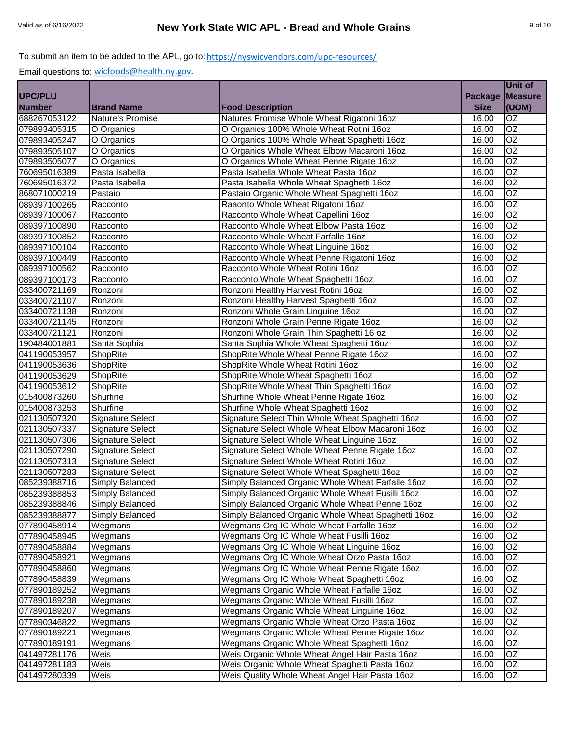|                |                         |                                                    |                | Unit of         |
|----------------|-------------------------|----------------------------------------------------|----------------|-----------------|
| <b>UPC/PLU</b> |                         |                                                    | <b>Package</b> | <b>Measure</b>  |
| <b>Number</b>  | <b>Brand Name</b>       | <b>Food Description</b>                            | <b>Size</b>    | (UOM)           |
| 688267053122   | Nature's Promise        | Natures Promise Whole Wheat Rigatoni 16oz          | 16.00          | OZ              |
| 079893405315   | O Organics              | O Organics 100% Whole Wheat Rotini 16oz            | 16.00          | OZ              |
| 079893405247   | O Organics              | O Organics 100% Whole Wheat Spaghetti 16oz         | 16.00          | OZ              |
| 079893505107   | O Organics              | O Organics Whole Wheat Elbow Macaroni 16oz         | 16.00          | OZ              |
| 079893505077   | O Organics              | O Organics Whole Wheat Penne Rigate 16oz           | 16.00          | $\overline{OZ}$ |
| 760695016389   | Pasta Isabella          | Pasta Isabella Whole Wheat Pasta 16oz              | 16.00          | $\overline{OZ}$ |
| 760695016372   | Pasta Isabella          | Pasta Isabella Whole Wheat Spaghetti 16oz          | 16.00          | $\overline{OZ}$ |
| 868071000219   | Pastaio                 | Pastaio Organic Whole Wheat Spaghetti 16oz         | 16.00          | OZ              |
| 089397100265   | Racconto                | Raaonto Whole Wheat Rigatoni 16oz                  | 16.00          | $\overline{OZ}$ |
| 089397100067   | Racconto                | Racconto Whole Wheat Capellini 16oz                | 16.00          | <b>OZ</b>       |
| 089397100890   | Racconto                | Racconto Whole Wheat Elbow Pasta 16oz              | 16.00          | $\overline{OZ}$ |
| 089397100852   | Racconto                | Racconto Whole Wheat Farfalle 16oz                 | 16.00          | $\overline{OZ}$ |
| 089397100104   | Racconto                | Racconto Whole Wheat Linguine 16oz                 | 16.00          | OZ              |
| 089397100449   | Racconto                | Racconto Whole Wheat Penne Rigatoni 16oz           | 16.00          | <b>OZ</b>       |
| 089397100562   | Racconto                | Racconto Whole Wheat Rotini 16oz                   | 16.00          | $\overline{OZ}$ |
| 089397100173   | Racconto                | Racconto Whole Wheat Spaghetti 16oz                | 16.00          | $\overline{OZ}$ |
| 033400721169   | Ronzoni                 | Ronzoni Healthy Harvest Rotini 16oz                | 16.00          | OZ              |
| 033400721107   | Ronzoni                 | Ronzoni Healthy Harvest Spaghetti 16oz             | 16.00          | $\overline{OZ}$ |
| 033400721138   | Ronzoni                 | Ronzoni Whole Grain Linguine 16oz                  | 16.00          | $\overline{OZ}$ |
| 033400721145   | Ronzoni                 | Ronzoni Whole Grain Penne Rigate 16oz              | 16.00          | $\overline{OZ}$ |
| 033400721121   | Ronzoni                 | Ronzoni Whole Grain Thin Spaghetti 16 oz           | 16.00          | $\overline{OZ}$ |
| 190484001881   | Santa Sophia            | Santa Sophia Whole Wheat Spaghetti 16oz            | 16.00          | OZ              |
| 041190053957   | ShopRite                | ShopRite Whole Wheat Penne Rigate 16oz             | 16.00          | $\overline{OZ}$ |
| 041190053636   | ShopRite                | ShopRite Whole Wheat Rotini 16oz                   | 16.00          | $\overline{OZ}$ |
| 041190053629   | ShopRite                | ShopRite Whole Wheat Spaghetti 16oz                | 16.00          | $\overline{OZ}$ |
| 041190053612   | ShopRite                | ShopRite Whole Wheat Thin Spaghetti 16oz           | 16.00          | OZ              |
| 015400873260   | Shurfine                | Shurfine Whole Wheat Penne Rigate 16oz             | 16.00          | $\overline{OZ}$ |
| 015400873253   | Shurfine                | Shurfine Whole Wheat Spaghetti 16oz                | 16.00          | $\overline{OZ}$ |
| 021130507320   | Signature Select        | Signature Select Thin Whole Wheat Spaghetti 16oz   | 16.00          | OZ              |
| 021130507337   | Signature Select        | Signature Select Whole Wheat Elbow Macaroni 16oz   | 16.00          | OZ              |
| 021130507306   | Signature Select        | Signature Select Whole Wheat Linguine 16oz         | 16.00          | OZ              |
| 021130507290   | <b>Signature Select</b> | Signature Select Whole Wheat Penne Rigate 16oz     | 16.00          | <b>OZ</b>       |
| 021130507313   | <b>Signature Select</b> | Signature Select Whole Wheat Rotini 16oz           | 16.00          | OZ              |
| 021130507283   | Signature Select        | Signature Select Whole Wheat Spaghetti 16oz        | 16.00          | $\overline{OZ}$ |
| 085239388716   | <b>Simply Balanced</b>  | Simply Balanced Organic Whole Wheat Farfalle 16oz  | 16.00          | $\overline{OZ}$ |
| 085239388853   | Simply Balanced         | Simply Balanced Organic Whole Wheat Fusilli 16oz   | 16.00          | <b>OZ</b>       |
| 085239388846   | Simply Balanced         | Simply Balanced Organic Whole Wheat Penne 16oz     | 16.00          | OZ              |
| 085239388877   | Simply Balanced         | Simply Balanced Organic Whole Wheat Spaghetti 16oz | 16.00          | OZ              |
| 077890458914   | Wegmans                 | Wegmans Org IC Whole Wheat Farfalle 16oz           | 16.00          | OZ              |
| 077890458945   | Wegmans                 | Wegmans Org IC Whole Wheat Fusilli 16oz            | 16.00          | OZ.             |
| 077890458884   | Wegmans                 | Wegmans Org IC Whole Wheat Linguine 16oz           | 16.00          | OZ.             |
| 077890458921   | Wegmans                 | Wegmans Org IC Whole Wheat Orzo Pasta 16oz         | 16.00          | OZ              |
| 077890458860   | Wegmans                 | Wegmans Org IC Whole Wheat Penne Rigate 16oz       | 16.00          | OZ              |
| 077890458839   | Wegmans                 | Wegmans Org IC Whole Wheat Spaghetti 16oz          | 16.00          | OZ              |
| 077890189252   | Wegmans                 | Wegmans Organic Whole Wheat Farfalle 16oz          | 16.00          | OZ              |
| 077890189238   | Wegmans                 | Wegmans Organic Whole Wheat Fusilli 16oz           | 16.00          | OZ              |
| 077890189207   | Wegmans                 | Wegmans Organic Whole Wheat Linguine 16oz          | 16.00          | OZ              |
| 077890346822   | Wegmans                 | Wegmans Organic Whole Wheat Orzo Pasta 16oz        | 16.00          | OZ              |
| 077890189221   | Wegmans                 | Wegmans Organic Whole Wheat Penne Rigate 16oz      | 16.00          | OZ              |
| 077890189191   | Wegmans                 | Wegmans Organic Whole Wheat Spaghetti 16oz         | 16.00          | OZ              |
| 041497281176   | Weis                    | Weis Organic Whole Wheat Angel Hair Pasta 16oz     | 16.00          | OZ              |
| 041497281183   | Weis                    | Weis Organic Whole Wheat Spaghetti Pasta 16oz      | 16.00          | OZ.             |
| 041497280339   | Weis                    | Weis Quality Whole Wheat Angel Hair Pasta 16oz     | 16.00          | OZ              |
|                |                         |                                                    |                |                 |